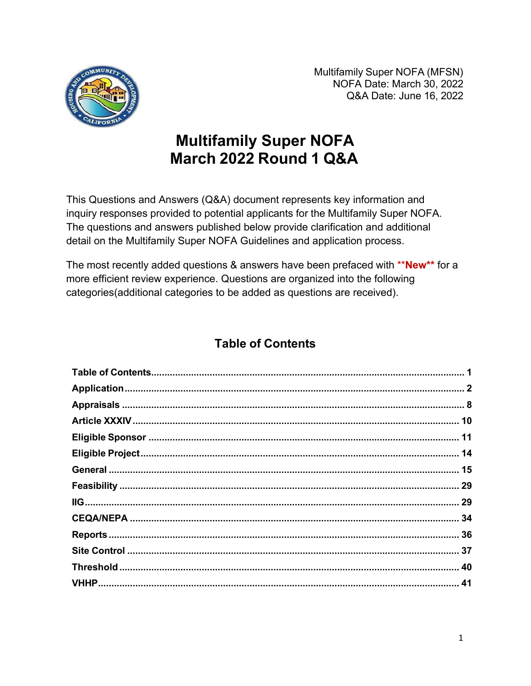

Multifamily Super NOFA (MFSN) NOFA Date: March 30, 2022 Q&A Date: June 16, 2022

# **Multifamily Super NOFA** March 2022 Round 1 Q&A

This Questions and Answers (Q&A) document represents key information and inquiry responses provided to potential applicants for the Multifamily Super NOFA. The questions and answers published below provide clarification and additional detail on the Multifamily Super NOFA Guidelines and application process.

The most recently added questions & answers have been prefaced with \*\*New\*\* for a more efficient review experience. Questions are organized into the following categories(additional categories to be added as questions are received).

# **Table of Contents**

<span id="page-0-0"></span>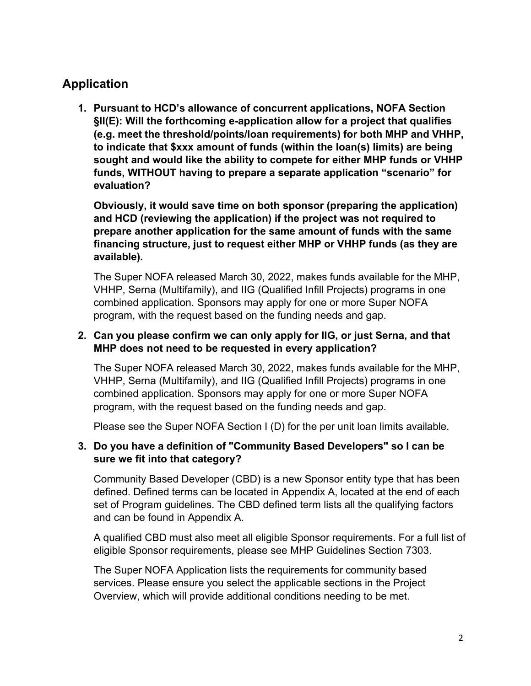# <span id="page-1-0"></span>**Application**

**1. Pursuant to HCD's allowance of concurrent applications, NOFA Section §II(E): Will the forthcoming e-application allow for a project that qualifies (e.g. meet the threshold/points/loan requirements) for both MHP and VHHP, to indicate that \$xxx amount of funds (within the loan(s) limits) are being sought and would like the ability to compete for either MHP funds or VHHP funds, WITHOUT having to prepare a separate application "scenario" for evaluation?**

**Obviously, it would save time on both sponsor (preparing the application) and HCD (reviewing the application) if the project was not required to prepare another application for the same amount of funds with the same financing structure, just to request either MHP or VHHP funds (as they are available).**

The Super NOFA released March 30, 2022, makes funds available for the MHP, VHHP, Serna (Multifamily), and IIG (Qualified Infill Projects) programs in one combined application. Sponsors may apply for one or more Super NOFA program, with the request based on the funding needs and gap.

# **2. Can you please confirm we can only apply for IIG, or just Serna, and that MHP does not need to be requested in every application?**

The Super NOFA released March 30, 2022, makes funds available for the MHP, VHHP, Serna (Multifamily), and IIG (Qualified Infill Projects) programs in one combined application. Sponsors may apply for one or more Super NOFA program, with the request based on the funding needs and gap.

Please see the Super NOFA Section I (D) for the per unit loan limits available.

### **3. Do you have a definition of "Community Based Developers" so I can be sure we fit into that category?**

Community Based Developer (CBD) is a new Sponsor entity type that has been defined. Defined terms can be located in Appendix A, located at the end of each set of Program guidelines. The CBD defined term lists all the qualifying factors and can be found in Appendix A.

A qualified CBD must also meet all eligible Sponsor requirements. For a full list of eligible Sponsor requirements, please see MHP Guidelines Section 7303.

The Super NOFA Application lists the requirements for community based services. Please ensure you select the applicable sections in the Project Overview, which will provide additional conditions needing to be met.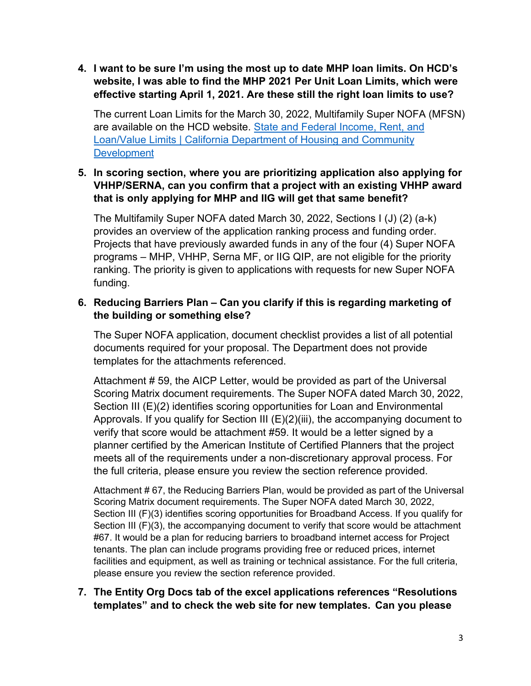**4. I want to be sure I'm using the most up to date MHP loan limits. On HCD's website, I was able to find the MHP 2021 Per Unit Loan Limits, which were effective starting April 1, 2021. Are these still the right loan limits to use?**

The current Loan Limits for the March 30, 2022, Multifamily Super NOFA (MFSN) are available on the HCD website. [State and Federal Income, Rent, and](https://www.hcd.ca.gov/state-and-federal-income) [Loan/Value Limits | California Department of Housing and Community](https://www.hcd.ca.gov/state-and-federal-income) **[Development](https://www.hcd.ca.gov/state-and-federal-income)** 

# **5. In scoring section, where you are prioritizing application also applying for VHHP/SERNA, can you confirm that a project with an existing VHHP award that is only applying for MHP and IIG will get that same benefit?**

The Multifamily Super NOFA dated March 30, 2022, Sections I (J) (2) (a-k) provides an overview of the application ranking process and funding order. Projects that have previously awarded funds in any of the four (4) Super NOFA programs – MHP, VHHP, Serna MF, or IIG QIP, are not eligible for the priority ranking. The priority is given to applications with requests for new Super NOFA funding.

# **6. Reducing Barriers Plan – Can you clarify if this is regarding marketing of the building or something else?**

The Super NOFA application, document checklist provides a list of all potential documents required for your proposal. The Department does not provide templates for the attachments referenced.

Attachment # 59, the AICP Letter, would be provided as part of the Universal Scoring Matrix document requirements. The Super NOFA dated March 30, 2022, Section III (E)(2) identifies scoring opportunities for Loan and Environmental Approvals. If you qualify for Section III  $(E)(2)$ (iii), the accompanying document to verify that score would be attachment #59. It would be a letter signed by a planner certified by the American Institute of Certified Planners that the project meets all of the requirements under a non-discretionary approval process. For the full criteria, please ensure you review the section reference provided.

Attachment # 67, the Reducing Barriers Plan, would be provided as part of the Universal Scoring Matrix document requirements. The Super NOFA dated March 30, 2022, Section III (F)(3) identifies scoring opportunities for Broadband Access. If you qualify for Section III (F)(3), the accompanying document to verify that score would be attachment #67. It would be a plan for reducing barriers to broadband internet access for Project tenants. The plan can include programs providing free or reduced prices, internet facilities and equipment, as well as training or technical assistance. For the full criteria, please ensure you review the section reference provided.

# **7. The Entity Org Docs tab of the excel applications references "Resolutions templates" and to check the web site for new templates. Can you please**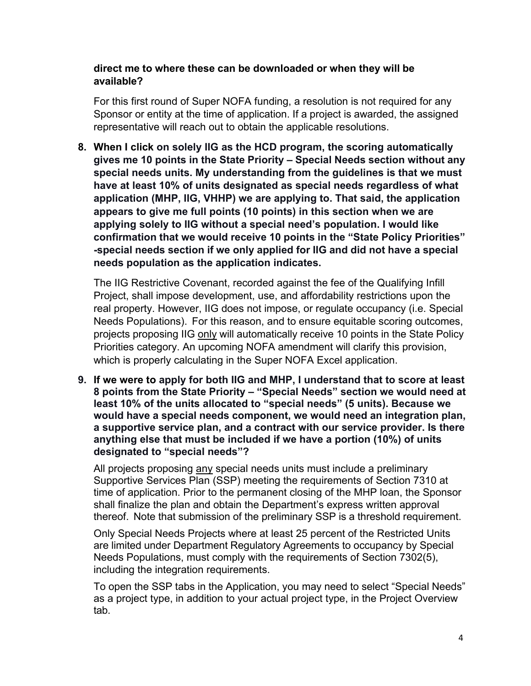### **direct me to where these can be downloaded or when they will be available?**

For this first round of Super NOFA funding, a resolution is not required for any Sponsor or entity at the time of application. If a project is awarded, the assigned representative will reach out to obtain the applicable resolutions.

**8. When I click on solely IIG as the HCD program, the scoring automatically gives me 10 points in the State Priority – Special Needs section without any special needs units. My understanding from the guidelines is that we must have at least 10% of units designated as special needs regardless of what application (MHP, IIG, VHHP) we are applying to. That said, the application appears to give me full points (10 points) in this section when we are applying solely to IIG without a special need's population. I would like confirmation that we would receive 10 points in the "State Policy Priorities" -special needs section if we only applied for IIG and did not have a special needs population as the application indicates.**

The IIG Restrictive Covenant, recorded against the fee of the Qualifying Infill Project, shall impose development, use, and affordability restrictions upon the real property. However, IIG does not impose, or regulate occupancy (i.e. Special Needs Populations). For this reason, and to ensure equitable scoring outcomes, projects proposing IIG only will automatically receive 10 points in the State Policy Priorities category. An upcoming NOFA amendment will clarify this provision, which is properly calculating in the Super NOFA Excel application.

**9. If we were to apply for both IIG and MHP, I understand that to score at least 8 points from the State Priority – "Special Needs" section we would need at least 10% of the units allocated to "special needs" (5 units). Because we would have a special needs component, we would need an integration plan, a supportive service plan, and a contract with our service provider. Is there anything else that must be included if we have a portion (10%) of units designated to "special needs"?**

All projects proposing any special needs units must include a preliminary Supportive Services Plan (SSP) meeting the requirements of Section 7310 at time of application. Prior to the permanent closing of the MHP loan, the Sponsor shall finalize the plan and obtain the Department's express written approval thereof. Note that submission of the preliminary SSP is a threshold requirement.

Only Special Needs Projects where at least 25 percent of the Restricted Units are limited under Department Regulatory Agreements to occupancy by Special Needs Populations, must comply with the requirements of Section 7302(5), including the integration requirements.

To open the SSP tabs in the Application, you may need to select "Special Needs" as a project type, in addition to your actual project type, in the Project Overview tab.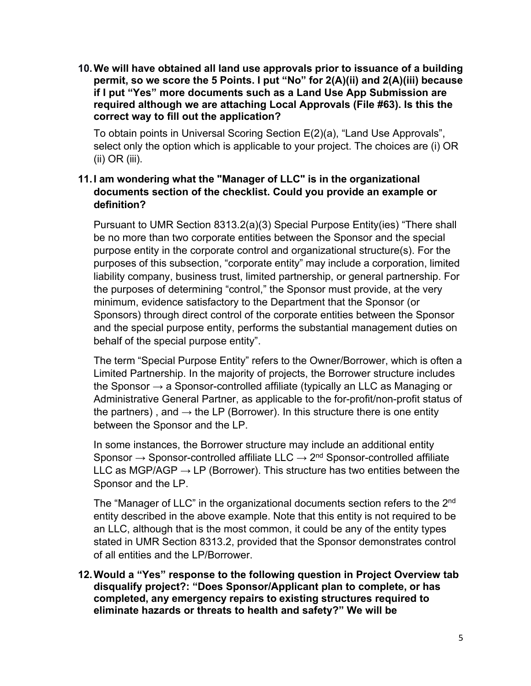**10.We will have obtained all land use approvals prior to issuance of a building permit, so we score the 5 Points. I put "No" for 2(A)(ii) and 2(A)(iii) because if I put "Yes" more documents such as a Land Use App Submission are required although we are attaching Local Approvals (File #63). Is this the correct way to fill out the application?**

To obtain points in Universal Scoring Section E(2)(a), "Land Use Approvals", select only the option which is applicable to your project. The choices are (i) OR (ii) OR (iii).

# **11.I am wondering what the "Manager of LLC" is in the organizational documents section of the checklist. Could you provide an example or definition?**

Pursuant to UMR Section 8313.2(a)(3) Special Purpose Entity(ies) "There shall be no more than two corporate entities between the Sponsor and the special purpose entity in the corporate control and organizational structure(s). For the purposes of this subsection, "corporate entity" may include a corporation, limited liability company, business trust, limited partnership, or general partnership. For the purposes of determining "control," the Sponsor must provide, at the very minimum, evidence satisfactory to the Department that the Sponsor (or Sponsors) through direct control of the corporate entities between the Sponsor and the special purpose entity, performs the substantial management duties on behalf of the special purpose entity".

The term "Special Purpose Entity" refers to the Owner/Borrower, which is often a Limited Partnership. In the majority of projects, the Borrower structure includes the Sponsor  $\rightarrow$  a Sponsor-controlled affiliate (typically an LLC as Managing or Administrative General Partner, as applicable to the for-profit/non-profit status of the partners), and  $\rightarrow$  the LP (Borrower). In this structure there is one entity between the Sponsor and the LP.

In some instances, the Borrower structure may include an additional entity Sponsor  $\rightarrow$  Sponsor-controlled affiliate LLC  $\rightarrow$  2<sup>nd</sup> Sponsor-controlled affiliate LLC as MGP/AGP  $\rightarrow$  LP (Borrower). This structure has two entities between the Sponsor and the LP.

The "Manager of LLC" in the organizational documents section refers to the 2<sup>nd</sup> entity described in the above example. Note that this entity is not required to be an LLC, although that is the most common, it could be any of the entity types stated in UMR Section 8313.2, provided that the Sponsor demonstrates control of all entities and the LP/Borrower.

**12.Would a "Yes" response to the following question in Project Overview tab disqualify project?: "Does Sponsor/Applicant plan to complete, or has completed, any emergency repairs to existing structures required to eliminate hazards or threats to health and safety?" We will be**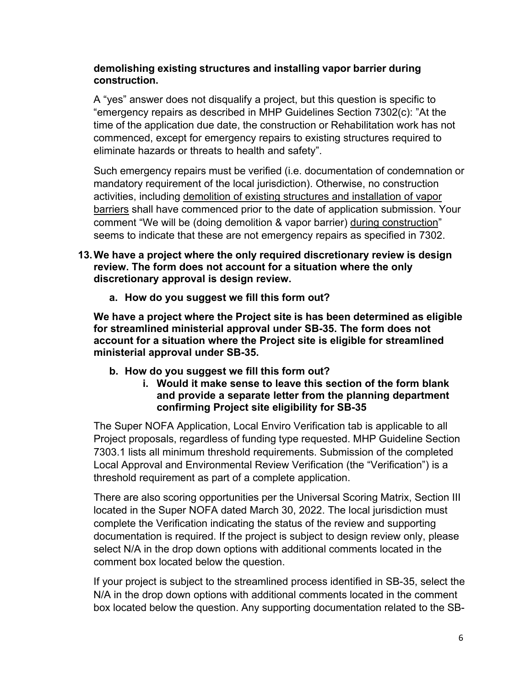### **demolishing existing structures and installing vapor barrier during construction.**

A "yes" answer does not disqualify a project, but this question is specific to "emergency repairs as described in MHP Guidelines Section 7302(c): "At the time of the application due date, the construction or Rehabilitation work has not commenced, except for emergency repairs to existing structures required to eliminate hazards or threats to health and safety".

Such emergency repairs must be verified (i.e. documentation of condemnation or mandatory requirement of the local jurisdiction). Otherwise, no construction activities, including demolition of existing structures and installation of vapor barriers shall have commenced prior to the date of application submission. Your comment "We will be (doing demolition & vapor barrier) during construction" seems to indicate that these are not emergency repairs as specified in 7302.

- **13.We have a project where the only required discretionary review is design review. The form does not account for a situation where the only discretionary approval is design review.**
	- **a. How do you suggest we fill this form out?**

**We have a project where the Project site is has been determined as eligible for streamlined ministerial approval under SB-35. The form does not account for a situation where the Project site is eligible for streamlined ministerial approval under SB-35.**

- **b. How do you suggest we fill this form out?**
	- **i. Would it make sense to leave this section of the form blank and provide a separate letter from the planning department confirming Project site eligibility for SB-35**

The Super NOFA Application, Local Enviro Verification tab is applicable to all Project proposals, regardless of funding type requested. MHP Guideline Section 7303.1 lists all minimum threshold requirements. Submission of the completed Local Approval and Environmental Review Verification (the "Verification") is a threshold requirement as part of a complete application.

There are also scoring opportunities per the Universal Scoring Matrix, Section III located in the Super NOFA dated March 30, 2022. The local jurisdiction must complete the Verification indicating the status of the review and supporting documentation is required. If the project is subject to design review only, please select N/A in the drop down options with additional comments located in the comment box located below the question.

If your project is subject to the streamlined process identified in SB-35, select the N/A in the drop down options with additional comments located in the comment box located below the question. Any supporting documentation related to the SB-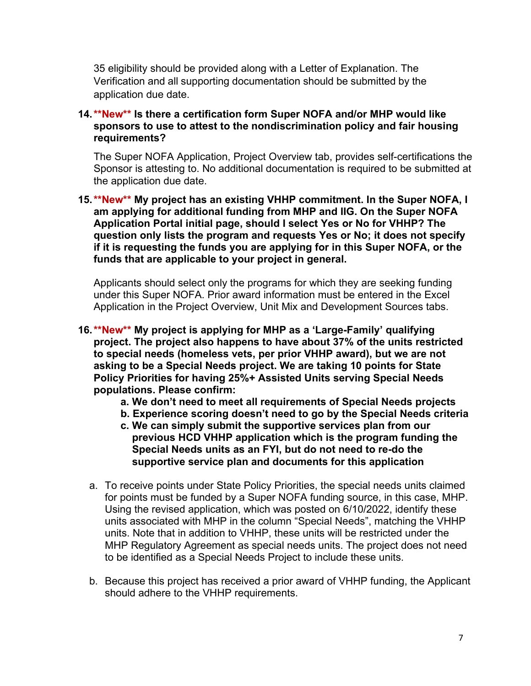35 eligibility should be provided along with a Letter of Explanation. The Verification and all supporting documentation should be submitted by the application due date.

#### **14.\*\*New\*\* Is there a certification form Super NOFA and/or MHP would like sponsors to use to attest to the nondiscrimination policy and fair housing requirements?**

The Super NOFA Application, Project Overview tab, provides self-certifications the Sponsor is attesting to. No additional documentation is required to be submitted at the application due date.

**15.\*\*New\*\* My project has an existing VHHP commitment. In the Super NOFA, I am applying for additional funding from MHP and IIG. On the Super NOFA Application Portal initial page, should I select Yes or No for VHHP? The question only lists the program and requests Yes or No; it does not specify if it is requesting the funds you are applying for in this Super NOFA, or the funds that are applicable to your project in general.**

Applicants should select only the programs for which they are seeking funding under this Super NOFA. Prior award information must be entered in the Excel Application in the Project Overview, Unit Mix and Development Sources tabs.

- **16.\*\*New\*\* My project is applying for MHP as a 'Large-Family' qualifying project. The project also happens to have about 37% of the units restricted to special needs (homeless vets, per prior VHHP award), but we are not asking to be a Special Needs project. We are taking 10 points for State Policy Priorities for having 25%+ Assisted Units serving Special Needs populations. Please confirm:**
	- **a. We don't need to meet all requirements of Special Needs projects**
	- **b. Experience scoring doesn't need to go by the Special Needs criteria**
	- **c. We can simply submit the supportive services plan from our previous HCD VHHP application which is the program funding the Special Needs units as an FYI, but do not need to re-do the supportive service plan and documents for this application**
	- a. To receive points under State Policy Priorities, the special needs units claimed for points must be funded by a Super NOFA funding source, in this case, MHP. Using the revised application, which was posted on 6/10/2022, identify these units associated with MHP in the column "Special Needs", matching the VHHP units. Note that in addition to VHHP, these units will be restricted under the MHP Regulatory Agreement as special needs units. The project does not need to be identified as a Special Needs Project to include these units.
	- b. Because this project has received a prior award of VHHP funding, the Applicant should adhere to the VHHP requirements.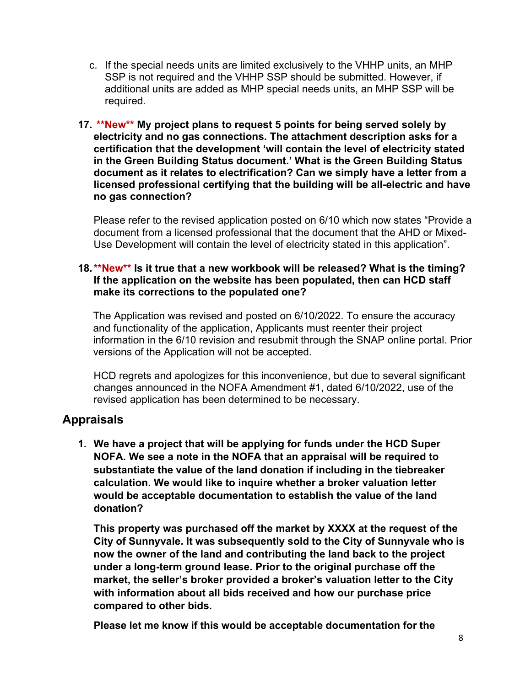- c. If the special needs units are limited exclusively to the VHHP units, an MHP SSP is not required and the VHHP SSP should be submitted. However, if additional units are added as MHP special needs units, an MHP SSP will be required.
- **17. \*\*New\*\* My project plans to request 5 points for being served solely by electricity and no gas connections. The attachment description asks for a certification that the development 'will contain the level of electricity stated in the Green Building Status document.' What is the Green Building Status document as it relates to electrification? Can we simply have a letter from a licensed professional certifying that the building will be all-electric and have no gas connection?**

Please refer to the revised application posted on 6/10 which now states "Provide a document from a licensed professional that the document that the AHD or Mixed-Use Development will contain the level of electricity stated in this application".

#### **18.\*\*New\*\* Is it true that a new workbook will be released? What is the timing? If the application on the website has been populated, then can HCD staff make its corrections to the populated one?**

The Application was revised and posted on 6/10/2022. To ensure the accuracy and functionality of the application, Applicants must reenter their project information in the 6/10 revision and resubmit through the SNAP online portal. Prior versions of the Application will not be accepted.

HCD regrets and apologizes for this inconvenience, but due to several significant changes announced in the NOFA Amendment #1, dated 6/10/2022, use of the revised application has been determined to be necessary.

# <span id="page-7-0"></span>**Appraisals**

**1. We have a project that will be applying for funds under the HCD Super NOFA. We see a note in the NOFA that an appraisal will be required to substantiate the value of the land donation if including in the tiebreaker calculation. We would like to inquire whether a broker valuation letter would be acceptable documentation to establish the value of the land donation?**

**This property was purchased off the market by XXXX at the request of the City of Sunnyvale. It was subsequently sold to the City of Sunnyvale who is now the owner of the land and contributing the land back to the project under a long-term ground lease. Prior to the original purchase off the market, the seller's broker provided a broker's valuation letter to the City with information about all bids received and how our purchase price compared to other bids.**

**Please let me know if this would be acceptable documentation for the**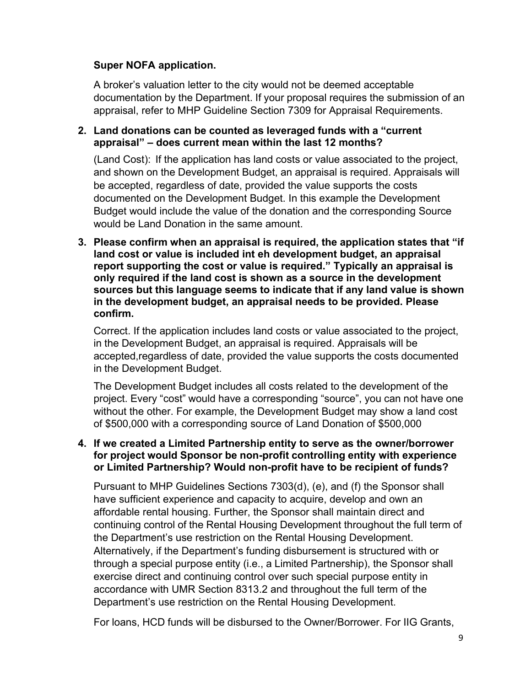### **Super NOFA application.**

A broker's valuation letter to the city would not be deemed acceptable documentation by the Department. If your proposal requires the submission of an appraisal, refer to MHP Guideline Section 7309 for Appraisal Requirements.

### **2. Land donations can be counted as leveraged funds with a "current appraisal" – does current mean within the last 12 months?**

(Land Cost): If the application has land costs or value associated to the project, and shown on the Development Budget, an appraisal is required. Appraisals will be accepted, regardless of date, provided the value supports the costs documented on the Development Budget. In this example the Development Budget would include the value of the donation and the corresponding Source would be Land Donation in the same amount.

**3. Please confirm when an appraisal is required, the application states that "if land cost or value is included int eh development budget, an appraisal report supporting the cost or value is required." Typically an appraisal is only required if the land cost is shown as a source in the development sources but this language seems to indicate that if any land value is shown in the development budget, an appraisal needs to be provided. Please confirm.**

Correct. If the application includes land costs or value associated to the project, in the Development Budget, an appraisal is required. Appraisals will be accepted,regardless of date, provided the value supports the costs documented in the Development Budget.

The Development Budget includes all costs related to the development of the project. Every "cost" would have a corresponding "source", you can not have one without the other. For example, the Development Budget may show a land cost of \$500,000 with a corresponding source of Land Donation of \$500,000

### **4. If we created a Limited Partnership entity to serve as the owner/borrower for project would Sponsor be non-profit controlling entity with experience or Limited Partnership? Would non-profit have to be recipient of funds?**

Pursuant to MHP Guidelines Sections 7303(d), (e), and (f) the Sponsor shall have sufficient experience and capacity to acquire, develop and own an affordable rental housing. Further, the Sponsor shall maintain direct and continuing control of the Rental Housing Development throughout the full term of the Department's use restriction on the Rental Housing Development. Alternatively, if the Department's funding disbursement is structured with or through a special purpose entity (i.e., a Limited Partnership), the Sponsor shall exercise direct and continuing control over such special purpose entity in accordance with UMR Section 8313.2 and throughout the full term of the Department's use restriction on the Rental Housing Development.

For loans, HCD funds will be disbursed to the Owner/Borrower. For IIG Grants,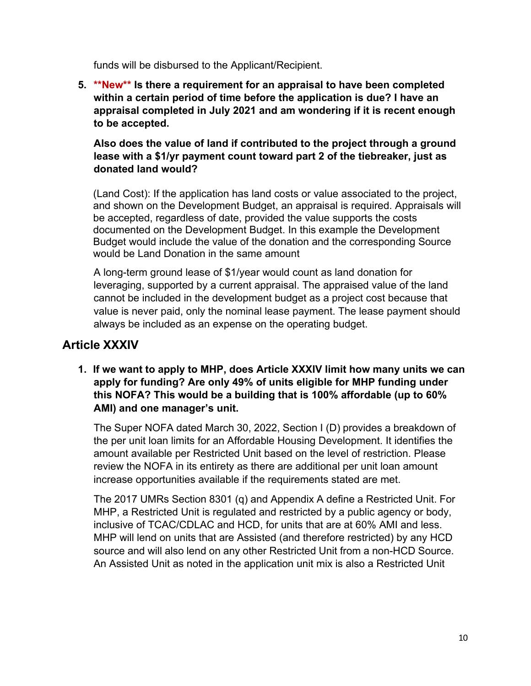funds will be disbursed to the Applicant/Recipient.

**5. \*\*New\*\* Is there a requirement for an appraisal to have been completed within a certain period of time before the application is due? I have an appraisal completed in July 2021 and am wondering if it is recent enough to be accepted.**

# **Also does the value of land if contributed to the project through a ground lease with a \$1/yr payment count toward part 2 of the tiebreaker, just as donated land would?**

(Land Cost): If the application has land costs or value associated to the project, and shown on the Development Budget, an appraisal is required. Appraisals will be accepted, regardless of date, provided the value supports the costs documented on the Development Budget. In this example the Development Budget would include the value of the donation and the corresponding Source would be Land Donation in the same amount

A long-term ground lease of \$1/year would count as land donation for leveraging, supported by a current appraisal. The appraised value of the land cannot be included in the development budget as a project cost because that value is never paid, only the nominal lease payment. The lease payment should always be included as an expense on the operating budget.

# <span id="page-9-0"></span>**Article XXXIV**

**1. If we want to apply to MHP, does Article XXXIV limit how many units we can apply for funding? Are only 49% of units eligible for MHP funding under this NOFA? This would be a building that is 100% affordable (up to 60% AMI) and one manager's unit.**

The Super NOFA dated March 30, 2022, Section I (D) provides a breakdown of the per unit loan limits for an Affordable Housing Development. It identifies the amount available per Restricted Unit based on the level of restriction. Please review the NOFA in its entirety as there are additional per unit loan amount increase opportunities available if the requirements stated are met.

The 2017 UMRs Section 8301 (q) and Appendix A define a Restricted Unit. For MHP, a Restricted Unit is regulated and restricted by a public agency or body, inclusive of TCAC/CDLAC and HCD, for units that are at 60% AMI and less. MHP will lend on units that are Assisted (and therefore restricted) by any HCD source and will also lend on any other Restricted Unit from a non-HCD Source. An Assisted Unit as noted in the application unit mix is also a Restricted Unit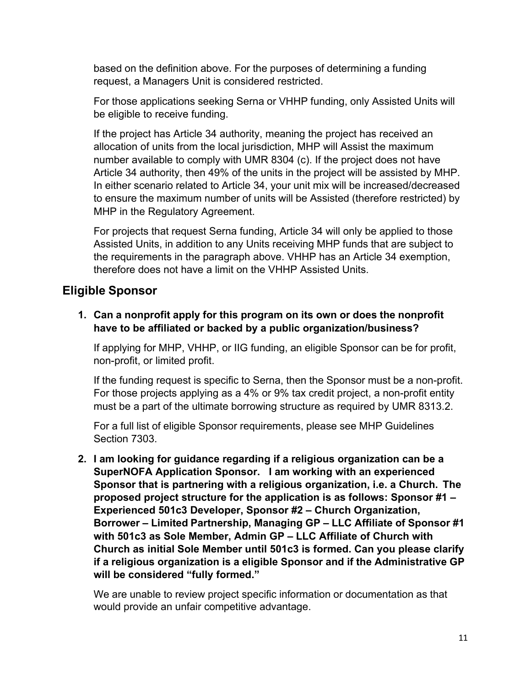based on the definition above. For the purposes of determining a funding request, a Managers Unit is considered restricted.

For those applications seeking Serna or VHHP funding, only Assisted Units will be eligible to receive funding.

If the project has Article 34 authority, meaning the project has received an allocation of units from the local jurisdiction, MHP will Assist the maximum number available to comply with UMR 8304 (c). If the project does not have Article 34 authority, then 49% of the units in the project will be assisted by MHP. In either scenario related to Article 34, your unit mix will be increased/decreased to ensure the maximum number of units will be Assisted (therefore restricted) by MHP in the Regulatory Agreement.

For projects that request Serna funding, Article 34 will only be applied to those Assisted Units, in addition to any Units receiving MHP funds that are subject to the requirements in the paragraph above. VHHP has an Article 34 exemption, therefore does not have a limit on the VHHP Assisted Units.

# <span id="page-10-0"></span>**Eligible Sponsor**

**1. Can a nonprofit apply for this program on its own or does the nonprofit have to be affiliated or backed by a public organization/business?**

If applying for MHP, VHHP, or IIG funding, an eligible Sponsor can be for profit, non-profit, or limited profit.

If the funding request is specific to Serna, then the Sponsor must be a non-profit. For those projects applying as a 4% or 9% tax credit project, a non-profit entity must be a part of the ultimate borrowing structure as required by UMR 8313.2.

For a full list of eligible Sponsor requirements, please see MHP Guidelines Section 7303.

**2. I am looking for guidance regarding if a religious organization can be a SuperNOFA Application Sponsor. I am working with an experienced Sponsor that is partnering with a religious organization, i.e. a Church. The proposed project structure for the application is as follows: Sponsor #1 – Experienced 501c3 Developer, Sponsor #2 – Church Organization, Borrower – Limited Partnership, Managing GP – LLC Affiliate of Sponsor #1 with 501c3 as Sole Member, Admin GP – LLC Affiliate of Church with Church as initial Sole Member until 501c3 is formed. Can you please clarify if a religious organization is a eligible Sponsor and if the Administrative GP will be considered "fully formed."**

We are unable to review project specific information or documentation as that would provide an unfair competitive advantage.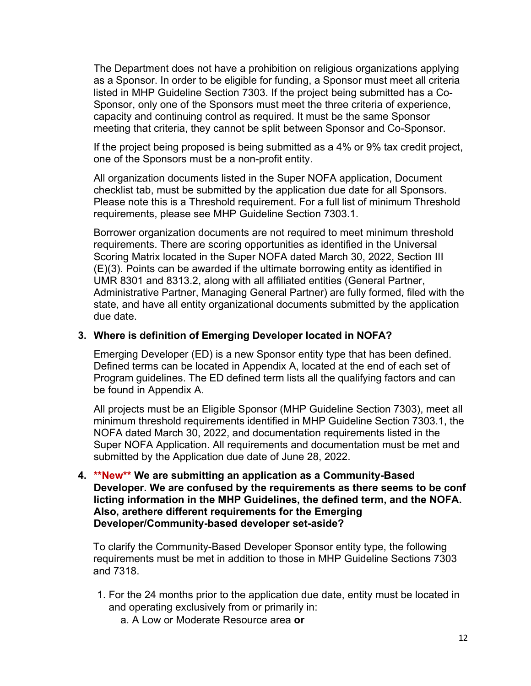The Department does not have a prohibition on religious organizations applying as a Sponsor. In order to be eligible for funding, a Sponsor must meet all criteria listed in MHP Guideline Section 7303. If the project being submitted has a Co-Sponsor, only one of the Sponsors must meet the three criteria of experience, capacity and continuing control as required. It must be the same Sponsor meeting that criteria, they cannot be split between Sponsor and Co-Sponsor.

If the project being proposed is being submitted as a 4% or 9% tax credit project, one of the Sponsors must be a non-profit entity.

All organization documents listed in the Super NOFA application, Document checklist tab, must be submitted by the application due date for all Sponsors. Please note this is a Threshold requirement. For a full list of minimum Threshold requirements, please see MHP Guideline Section 7303.1.

Borrower organization documents are not required to meet minimum threshold requirements. There are scoring opportunities as identified in the Universal Scoring Matrix located in the Super NOFA dated March 30, 2022, Section III (E)(3). Points can be awarded if the ultimate borrowing entity as identified in UMR 8301 and 8313.2, along with all affiliated entities (General Partner, Administrative Partner, Managing General Partner) are fully formed, filed with the state, and have all entity organizational documents submitted by the application due date.

#### **3. Where is definition of Emerging Developer located in NOFA?**

Emerging Developer (ED) is a new Sponsor entity type that has been defined. Defined terms can be located in Appendix A, located at the end of each set of Program guidelines. The ED defined term lists all the qualifying factors and can be found in Appendix A.

All projects must be an Eligible Sponsor (MHP Guideline Section 7303), meet all minimum threshold requirements identified in MHP Guideline Section 7303.1, the NOFA dated March 30, 2022, and documentation requirements listed in the Super NOFA Application. All requirements and documentation must be met and submitted by the Application due date of June 28, 2022.

**4. \*\*New\*\* We are submitting an application as a Community-Based Developer. We are confused by the requirements as there seems to be conf licting information in the MHP Guidelines, the defined term, and the NOFA. Also, arethere different requirements for the Emerging Developer/Community-based developer set-aside?**

To clarify the Community-Based Developer Sponsor entity type, the following requirements must be met in addition to those in MHP Guideline Sections 7303 and 7318.

- 1. For the 24 months prior to the application due date, entity must be located in and operating exclusively from or primarily in:
	- a. A Low or Moderate Resource area **or**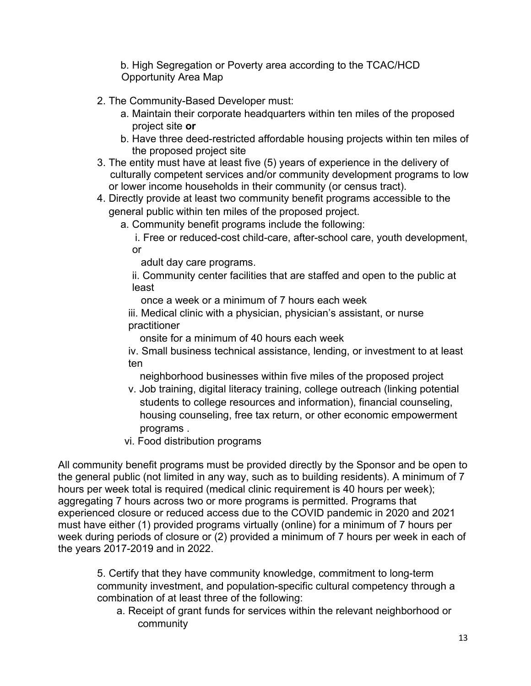b. High Segregation or Poverty area according to the TCAC/HCD Opportunity Area Map

- 2. The Community-Based Developer must:
	- a. Maintain their corporate headquarters within ten miles of the proposed project site **or**
	- b. Have three deed-restricted affordable housing projects within ten miles of the proposed project site
- 3. The entity must have at least five (5) years of experience in the delivery of culturally competent services and/or community development programs to low or lower income households in their community (or census tract).
- 4. Directly provide at least two community benefit programs accessible to the general public within ten miles of the proposed project.

a. Community benefit programs include the following:

i. Free or reduced-cost child-care, after-school care, youth development, or

adult day care programs.

ii. Community center facilities that are staffed and open to the public at least

once a week or a minimum of 7 hours each week

iii. Medical clinic with a physician, physician's assistant, or nurse practitioner

onsite for a minimum of 40 hours each week

iv. Small business technical assistance, lending, or investment to at least ten

neighborhood businesses within five miles of the proposed project

- v. Job training, digital literacy training, college outreach (linking potential students to college resources and information), financial counseling, housing counseling, free tax return, or other economic empowerment programs .
- vi. Food distribution programs

All community benefit programs must be provided directly by the Sponsor and be open to the general public (not limited in any way, such as to building residents). A minimum of 7 hours per week total is required (medical clinic requirement is 40 hours per week); aggregating 7 hours across two or more programs is permitted. Programs that experienced closure or reduced access due to the COVID pandemic in 2020 and 2021 must have either (1) provided programs virtually (online) for a minimum of 7 hours per week during periods of closure or (2) provided a minimum of 7 hours per week in each of the years 2017-2019 and in 2022.

5. Certify that they have community knowledge, commitment to long-term community investment, and population-specific cultural competency through a combination of at least three of the following:

a. Receipt of grant funds for services within the relevant neighborhood or community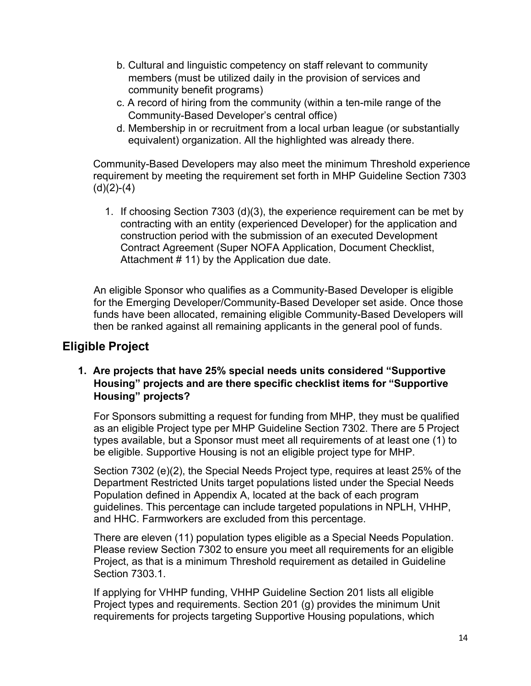- b. Cultural and linguistic competency on staff relevant to community members (must be utilized daily in the provision of services and community benefit programs)
- c. A record of hiring from the community (within a ten-mile range of the Community-Based Developer's central office)
- d. Membership in or recruitment from a local urban league (or substantially equivalent) organization. All the highlighted was already there.

Community-Based Developers may also meet the minimum Threshold experience requirement by meeting the requirement set forth in MHP Guideline Section 7303  $(d)(2)-(4)$ 

1. If choosing Section 7303 (d)(3), the experience requirement can be met by contracting with an entity (experienced Developer) for the application and construction period with the submission of an executed Development Contract Agreement (Super NOFA Application, Document Checklist, Attachment # 11) by the Application due date.

An eligible Sponsor who qualifies as a Community-Based Developer is eligible for the Emerging Developer/Community-Based Developer set aside. Once those funds have been allocated, remaining eligible Community-Based Developers will then be ranked against all remaining applicants in the general pool of funds.

# <span id="page-13-0"></span>**Eligible Project**

# **1. Are projects that have 25% special needs units considered "Supportive Housing" projects and are there specific checklist items for "Supportive Housing" projects?**

For Sponsors submitting a request for funding from MHP, they must be qualified as an eligible Project type per MHP Guideline Section 7302. There are 5 Project types available, but a Sponsor must meet all requirements of at least one (1) to be eligible. Supportive Housing is not an eligible project type for MHP.

Section 7302 (e)(2), the Special Needs Project type, requires at least 25% of the Department Restricted Units target populations listed under the Special Needs Population defined in Appendix A, located at the back of each program guidelines. This percentage can include targeted populations in NPLH, VHHP, and HHC. Farmworkers are excluded from this percentage.

There are eleven (11) population types eligible as a Special Needs Population. Please review Section 7302 to ensure you meet all requirements for an eligible Project, as that is a minimum Threshold requirement as detailed in Guideline Section 7303.1.

If applying for VHHP funding, VHHP Guideline Section 201 lists all eligible Project types and requirements. Section 201 (g) provides the minimum Unit requirements for projects targeting Supportive Housing populations, which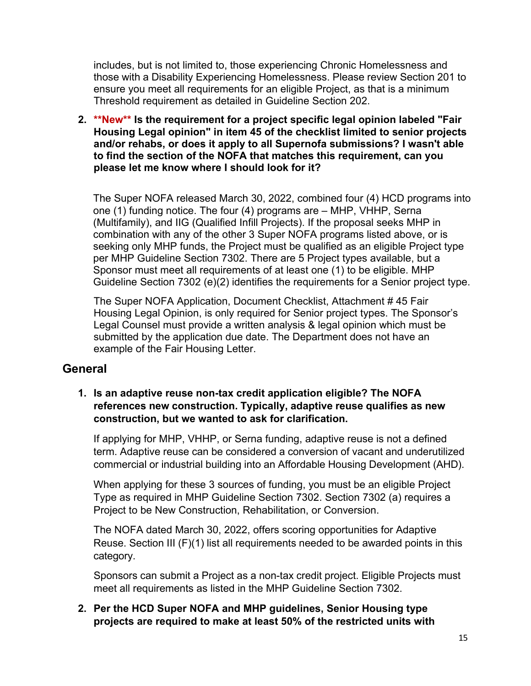includes, but is not limited to, those experiencing Chronic Homelessness and those with a Disability Experiencing Homelessness. Please review Section 201 to ensure you meet all requirements for an eligible Project, as that is a minimum Threshold requirement as detailed in Guideline Section 202.

**2. \*\*New\*\* Is the requirement for a project specific legal opinion labeled "Fair Housing Legal opinion" in item 45 of the checklist limited to senior projects and/or rehabs, or does it apply to all Supernofa submissions? I wasn't able to find the section of the NOFA that matches this requirement, can you please let me know where I should look for it?**

The Super NOFA released March 30, 2022, combined four (4) HCD programs into one (1) funding notice. The four (4) programs are – MHP, VHHP, Serna (Multifamily), and IIG (Qualified Infill Projects). If the proposal seeks MHP in combination with any of the other 3 Super NOFA programs listed above, or is seeking only MHP funds, the Project must be qualified as an eligible Project type per MHP Guideline Section 7302. There are 5 Project types available, but a Sponsor must meet all requirements of at least one (1) to be eligible. MHP Guideline Section 7302 (e)(2) identifies the requirements for a Senior project type.

The Super NOFA Application, Document Checklist, Attachment # 45 Fair Housing Legal Opinion, is only required for Senior project types. The Sponsor's Legal Counsel must provide a written analysis & legal opinion which must be submitted by the application due date. The Department does not have an example of the Fair Housing Letter.

# <span id="page-14-0"></span>**General**

### **1. Is an adaptive reuse non-tax credit application eligible? The NOFA references new construction. Typically, adaptive reuse qualifies as new construction, but we wanted to ask for clarification.**

If applying for MHP, VHHP, or Serna funding, adaptive reuse is not a defined term. Adaptive reuse can be considered a conversion of vacant and underutilized commercial or industrial building into an Affordable Housing Development (AHD).

When applying for these 3 sources of funding, you must be an eligible Project Type as required in MHP Guideline Section 7302. Section 7302 (a) requires a Project to be New Construction, Rehabilitation, or Conversion.

The NOFA dated March 30, 2022, offers scoring opportunities for Adaptive Reuse. Section III (F)(1) list all requirements needed to be awarded points in this category.

Sponsors can submit a Project as a non-tax credit project. Eligible Projects must meet all requirements as listed in the MHP Guideline Section 7302.

**2. Per the HCD Super NOFA and MHP guidelines, Senior Housing type projects are required to make at least 50% of the restricted units with**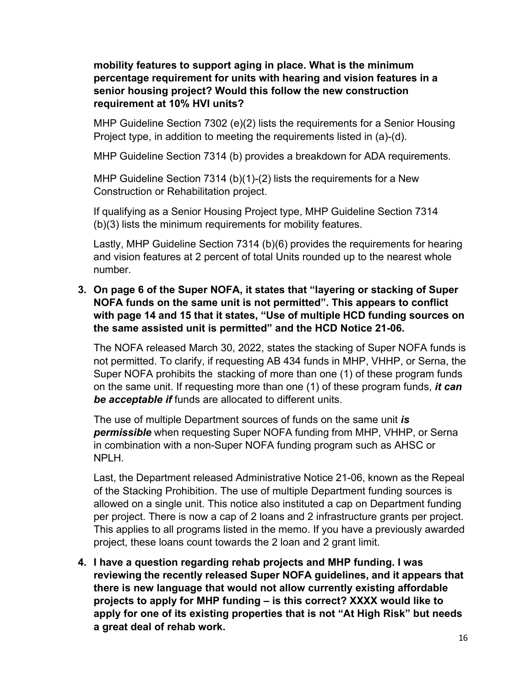### **mobility features to support aging in place. What is the minimum percentage requirement for units with hearing and vision features in a senior housing project? Would this follow the new construction requirement at 10% HVI units?**

MHP Guideline Section 7302 (e)(2) lists the requirements for a Senior Housing Project type, in addition to meeting the requirements listed in (a)-(d).

MHP Guideline Section 7314 (b) provides a breakdown for ADA requirements.

MHP Guideline Section 7314 (b)(1)-(2) lists the requirements for a New Construction or Rehabilitation project.

If qualifying as a Senior Housing Project type, MHP Guideline Section 7314 (b)(3) lists the minimum requirements for mobility features.

Lastly, MHP Guideline Section 7314 (b)(6) provides the requirements for hearing and vision features at 2 percent of total Units rounded up to the nearest whole number.

# **3. On page 6 of the Super NOFA, it states that "layering or stacking of Super NOFA funds on the same unit is not permitted". This appears to conflict with page 14 and 15 that it states, "Use of multiple HCD funding sources on the same assisted unit is permitted" and the HCD Notice 21-06.**

The NOFA released March 30, 2022, states the stacking of Super NOFA funds is not permitted. To clarify, if requesting AB 434 funds in MHP, VHHP, or Serna, the Super NOFA prohibits the stacking of more than one (1) of these program funds on the same unit. If requesting more than one (1) of these program funds, *it can be acceptable if* funds are allocated to different units.

The use of multiple Department sources of funds on the same unit *is permissible* when requesting Super NOFA funding from MHP, VHHP, or Serna in combination with a non-Super NOFA funding program such as AHSC or NPLH.

Last, the Department released Administrative Notice 21-06, known as the Repeal of the Stacking Prohibition. The use of multiple Department funding sources is allowed on a single unit. This notice also instituted a cap on Department funding per project. There is now a cap of 2 loans and 2 infrastructure grants per project. This applies to all programs listed in the memo. If you have a previously awarded project, these loans count towards the 2 loan and 2 grant limit.

**4. I have a question regarding rehab projects and MHP funding. I was reviewing the recently released Super NOFA guidelines, and it appears that there is new language that would not allow currently existing affordable projects to apply for MHP funding – is this correct? XXXX would like to apply for one of its existing properties that is not "At High Risk" but needs a great deal of rehab work.**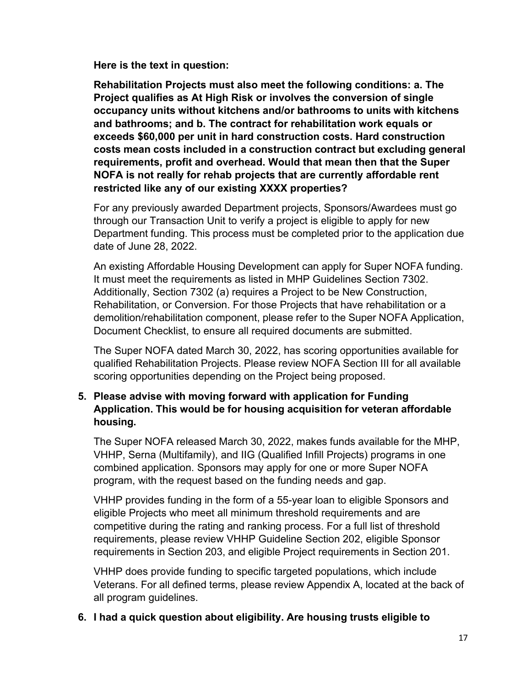**Here is the text in question:**

**Rehabilitation Projects must also meet the following conditions: a. The Project qualifies as At High Risk or involves the conversion of single occupancy units without kitchens and/or bathrooms to units with kitchens and bathrooms; and b. The contract for rehabilitation work equals or exceeds \$60,000 per unit in hard construction costs. Hard construction costs mean costs included in a construction contract but excluding general requirements, profit and overhead. Would that mean then that the Super NOFA is not really for rehab projects that are currently affordable rent restricted like any of our existing XXXX properties?**

For any previously awarded Department projects, Sponsors/Awardees must go through our Transaction Unit to verify a project is eligible to apply for new Department funding. This process must be completed prior to the application due date of June 28, 2022.

An existing Affordable Housing Development can apply for Super NOFA funding. It must meet the requirements as listed in MHP Guidelines Section 7302. Additionally, Section 7302 (a) requires a Project to be New Construction, Rehabilitation, or Conversion. For those Projects that have rehabilitation or a demolition/rehabilitation component, please refer to the Super NOFA Application, Document Checklist, to ensure all required documents are submitted.

The Super NOFA dated March 30, 2022, has scoring opportunities available for qualified Rehabilitation Projects. Please review NOFA Section III for all available scoring opportunities depending on the Project being proposed.

### **5. Please advise with moving forward with application for Funding Application. This would be for housing acquisition for veteran affordable housing.**

The Super NOFA released March 30, 2022, makes funds available for the MHP, VHHP, Serna (Multifamily), and IIG (Qualified Infill Projects) programs in one combined application. Sponsors may apply for one or more Super NOFA program, with the request based on the funding needs and gap.

VHHP provides funding in the form of a 55-year loan to eligible Sponsors and eligible Projects who meet all minimum threshold requirements and are competitive during the rating and ranking process. For a full list of threshold requirements, please review VHHP Guideline Section 202, eligible Sponsor requirements in Section 203, and eligible Project requirements in Section 201.

VHHP does provide funding to specific targeted populations, which include Veterans. For all defined terms, please review Appendix A, located at the back of all program guidelines.

#### **6. I had a quick question about eligibility. Are housing trusts eligible to**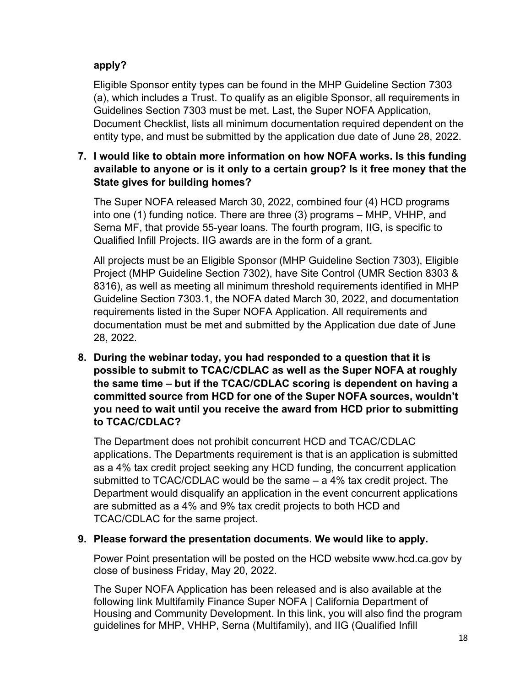# **apply?**

Eligible Sponsor entity types can be found in the MHP Guideline Section 7303 (a), which includes a Trust. To qualify as an eligible Sponsor, all requirements in Guidelines Section 7303 must be met. Last, the Super NOFA Application, Document Checklist, lists all minimum documentation required dependent on the entity type, and must be submitted by the application due date of June 28, 2022.

# **7. I would like to obtain more information on how NOFA works. Is this funding available to anyone or is it only to a certain group? Is it free money that the State gives for building homes?**

The Super NOFA released March 30, 2022, combined four (4) HCD programs into one (1) funding notice. There are three (3) programs – MHP, VHHP, and Serna MF, that provide 55-year loans. The fourth program, IIG, is specific to Qualified Infill Projects. IIG awards are in the form of a grant.

All projects must be an Eligible Sponsor (MHP Guideline Section 7303), Eligible Project (MHP Guideline Section 7302), have Site Control (UMR Section 8303 & 8316), as well as meeting all minimum threshold requirements identified in MHP Guideline Section 7303.1, the NOFA dated March 30, 2022, and documentation requirements listed in the Super NOFA Application. All requirements and documentation must be met and submitted by the Application due date of June 28, 2022.

**8. During the webinar today, you had responded to a question that it is possible to submit to TCAC/CDLAC as well as the Super NOFA at roughly the same time – but if the TCAC/CDLAC scoring is dependent on having a committed source from HCD for one of the Super NOFA sources, wouldn't you need to wait until you receive the award from HCD prior to submitting to TCAC/CDLAC?**

The Department does not prohibit concurrent HCD and TCAC/CDLAC applications. The Departments requirement is that is an application is submitted as a 4% tax credit project seeking any HCD funding, the concurrent application submitted to TCAC/CDLAC would be the same – a 4% tax credit project. The Department would disqualify an application in the event concurrent applications are submitted as a 4% and 9% tax credit projects to both HCD and TCAC/CDLAC for the same project.

# **9. Please forward the presentation documents. We would like to apply.**

Power Point presentation will be posted on the HCD website [www.hcd.ca.gov](http://www.hcd.ca.gov/) by close of business Friday, May 20, 2022.

The Super NOFA Application has been released and is also available at the following link Multifamily Finance Super NOFA | California Department of Housing and Community Development. In this link, you will also find the program guidelines for MHP, VHHP, Serna (Multifamily), and IIG (Qualified Infill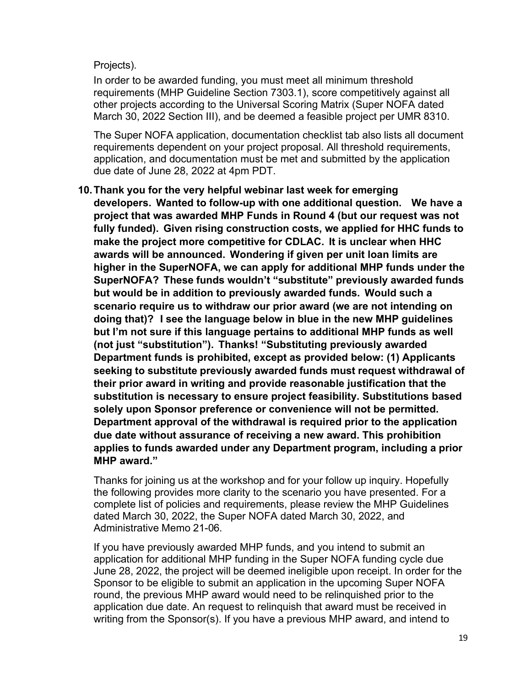### Projects).

In order to be awarded funding, you must meet all minimum threshold requirements (MHP Guideline Section 7303.1), score competitively against all other projects according to the Universal Scoring Matrix (Super NOFA dated March 30, 2022 Section III), and be deemed a feasible project per UMR 8310.

The Super NOFA application, documentation checklist tab also lists all document requirements dependent on your project proposal. All threshold requirements, application, and documentation must be met and submitted by the application due date of June 28, 2022 at 4pm PDT.

# **10.Thank you for the very helpful webinar last week for emerging developers. Wanted to follow-up with one additional question. We have a project that was awarded MHP Funds in Round 4 (but our request was not fully funded). Given rising construction costs, we applied for HHC funds to make the project more competitive for CDLAC. It is unclear when HHC awards will be announced. Wondering if given per unit loan limits are higher in the SuperNOFA, we can apply for additional MHP funds under the SuperNOFA? These funds wouldn't "substitute" previously awarded funds but would be in addition to previously awarded funds. Would such a scenario require us to withdraw our prior award (we are not intending on doing that)? I see the language below in blue in the new MHP guidelines but I'm not sure if this language pertains to additional MHP funds as well (not just "substitution"). Thanks! "Substituting previously awarded Department funds is prohibited, except as provided below: (1) Applicants seeking to substitute previously awarded funds must request withdrawal of their prior award in writing and provide reasonable justification that the substitution is necessary to ensure project feasibility. Substitutions based solely upon Sponsor preference or convenience will not be permitted. Department approval of the withdrawal is required prior to the application due date without assurance of receiving a new award. This prohibition applies to funds awarded under any Department program, including a prior MHP award."**

Thanks for joining us at the workshop and for your follow up inquiry. Hopefully the following provides more clarity to the scenario you have presented. For a complete list of policies and requirements, please review the MHP Guidelines dated March 30, 2022, the Super NOFA dated March 30, 2022, and Administrative Memo 21-06.

If you have previously awarded MHP funds, and you intend to submit an application for additional MHP funding in the Super NOFA funding cycle due June 28, 2022, the project will be deemed ineligible upon receipt. In order for the Sponsor to be eligible to submit an application in the upcoming Super NOFA round, the previous MHP award would need to be relinquished prior to the application due date. An request to relinquish that award must be received in writing from the Sponsor(s). If you have a previous MHP award, and intend to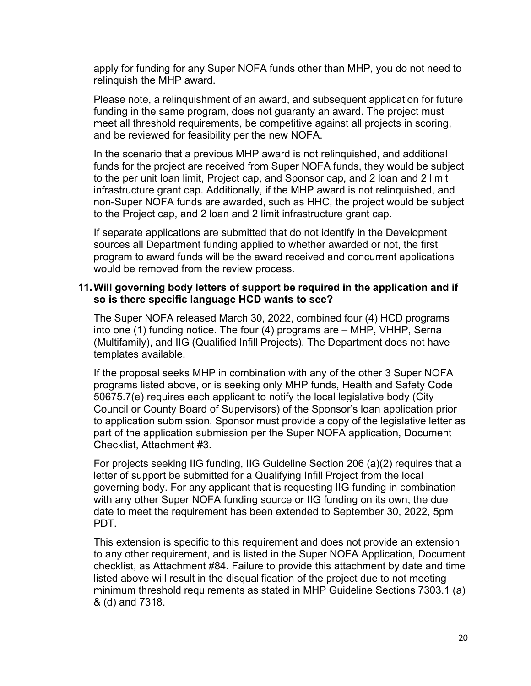apply for funding for any Super NOFA funds other than MHP, you do not need to relinquish the MHP award.

Please note, a relinquishment of an award, and subsequent application for future funding in the same program, does not guaranty an award. The project must meet all threshold requirements, be competitive against all projects in scoring, and be reviewed for feasibility per the new NOFA.

In the scenario that a previous MHP award is not relinquished, and additional funds for the project are received from Super NOFA funds, they would be subject to the per unit loan limit, Project cap, and Sponsor cap, and 2 loan and 2 limit infrastructure grant cap. Additionally, if the MHP award is not relinquished, and non-Super NOFA funds are awarded, such as HHC, the project would be subject to the Project cap, and 2 loan and 2 limit infrastructure grant cap.

If separate applications are submitted that do not identify in the Development sources all Department funding applied to whether awarded or not, the first program to award funds will be the award received and concurrent applications would be removed from the review process.

#### **11.Will governing body letters of support be required in the application and if so is there specific language HCD wants to see?**

The Super NOFA released March 30, 2022, combined four (4) HCD programs into one (1) funding notice. The four (4) programs are – MHP, VHHP, Serna (Multifamily), and IIG (Qualified Infill Projects). The Department does not have templates available.

If the proposal seeks MHP in combination with any of the other 3 Super NOFA programs listed above, or is seeking only MHP funds, Health and Safety Code 50675.7(e) requires each applicant to notify the local legislative body (City Council or County Board of Supervisors) of the Sponsor's loan application prior to application submission. Sponsor must provide a copy of the legislative letter as part of the application submission per the Super NOFA application, Document Checklist, Attachment #3.

For projects seeking IIG funding, IIG Guideline Section 206 (a)(2) requires that a letter of support be submitted for a Qualifying Infill Project from the local governing body. For any applicant that is requesting IIG funding in combination with any other Super NOFA funding source or IIG funding on its own, the due date to meet the requirement has been extended to September 30, 2022, 5pm PDT.

This extension is specific to this requirement and does not provide an extension to any other requirement, and is listed in the Super NOFA Application, Document checklist, as Attachment #84. Failure to provide this attachment by date and time listed above will result in the disqualification of the project due to not meeting minimum threshold requirements as stated in MHP Guideline Sections 7303.1 (a) & (d) and 7318.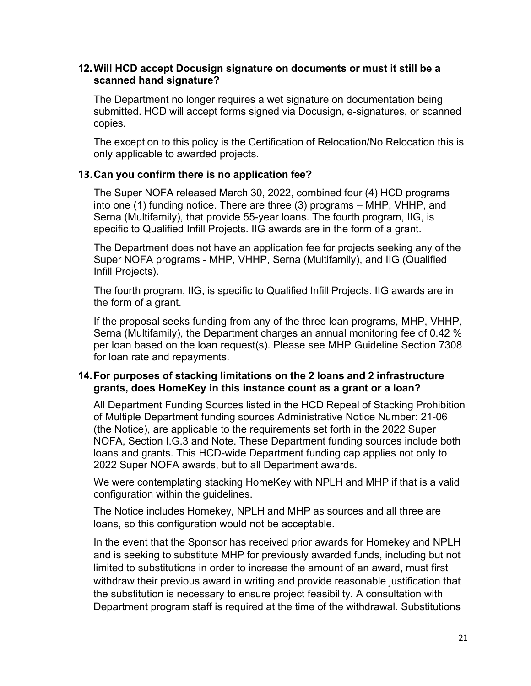#### **12.Will HCD accept Docusign signature on documents or must it still be a scanned hand signature?**

The Department no longer requires a wet signature on documentation being submitted. HCD will accept forms signed via Docusign, e-signatures, or scanned copies.

The exception to this policy is the Certification of Relocation/No Relocation this is only applicable to awarded projects.

#### **13.Can you confirm there is no application fee?**

The Super NOFA released March 30, 2022, combined four (4) HCD programs into one (1) funding notice. There are three (3) programs – MHP, VHHP, and Serna (Multifamily), that provide 55-year loans. The fourth program, IIG, is specific to Qualified Infill Projects. IIG awards are in the form of a grant.

The Department does not have an application fee for projects seeking any of the Super NOFA programs - MHP, VHHP, Serna (Multifamily), and IIG (Qualified Infill Projects).

The fourth program, IIG, is specific to Qualified Infill Projects. IIG awards are in the form of a grant.

If the proposal seeks funding from any of the three loan programs, MHP, VHHP, Serna (Multifamily), the Department charges an annual monitoring fee of 0.42 % per loan based on the loan request(s). Please see MHP Guideline Section 7308 for loan rate and repayments.

### **14.For purposes of stacking limitations on the 2 loans and 2 infrastructure grants, does HomeKey in this instance count as a grant or a loan?**

All Department Funding Sources listed in the HCD Repeal of Stacking Prohibition of Multiple Department funding sources Administrative Notice Number: 21-06 (the Notice), are applicable to the requirements set forth in the 2022 Super NOFA, Section I.G.3 and Note. These Department funding sources include both loans and grants. This HCD-wide Department funding cap applies not only to 2022 Super NOFA awards, but to all Department awards.

We were contemplating stacking HomeKey with NPLH and MHP if that is a valid configuration within the guidelines.

The Notice includes Homekey, NPLH and MHP as sources and all three are loans, so this configuration would not be acceptable.

In the event that the Sponsor has received prior awards for Homekey and NPLH and is seeking to substitute MHP for previously awarded funds, including but not limited to substitutions in order to increase the amount of an award, must first withdraw their previous award in writing and provide reasonable justification that the substitution is necessary to ensure project feasibility. A consultation with Department program staff is required at the time of the withdrawal. Substitutions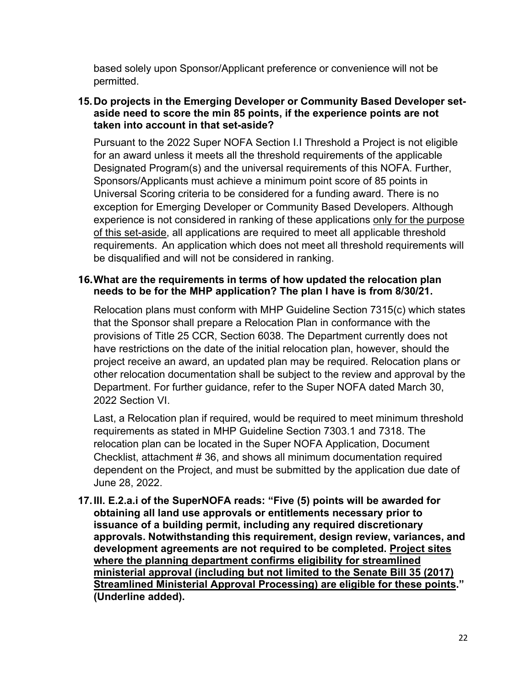based solely upon Sponsor/Applicant preference or convenience will not be permitted.

### **15.Do projects in the Emerging Developer or Community Based Developer setaside need to score the min 85 points, if the experience points are not taken into account in that set-aside?**

Pursuant to the 2022 Super NOFA Section I.I Threshold a Project is not eligible for an award unless it meets all the threshold requirements of the applicable Designated Program(s) and the universal requirements of this NOFA. Further, Sponsors/Applicants must achieve a minimum point score of 85 points in Universal Scoring criteria to be considered for a funding award. There is no exception for Emerging Developer or Community Based Developers. Although experience is not considered in ranking of these applications only for the purpose of this set-aside, all applications are required to meet all applicable threshold requirements. An application which does not meet all threshold requirements will be disqualified and will not be considered in ranking.

### **16.What are the requirements in terms of how updated the relocation plan needs to be for the MHP application? The plan I have is from 8/30/21.**

Relocation plans must conform with MHP Guideline Section 7315(c) which states that the Sponsor shall prepare a Relocation Plan in conformance with the provisions of Title 25 CCR, Section 6038. The Department currently does not have restrictions on the date of the initial relocation plan, however, should the project receive an award, an updated plan may be required. Relocation plans or other relocation documentation shall be subject to the review and approval by the Department. For further guidance, refer to the Super NOFA dated March 30, 2022 Section VI.

Last, a Relocation plan if required, would be required to meet minimum threshold requirements as stated in MHP Guideline Section 7303.1 and 7318. The relocation plan can be located in the Super NOFA Application, Document Checklist, attachment # 36, and shows all minimum documentation required dependent on the Project, and must be submitted by the application due date of June 28, 2022.

**17.III. E.2.a.i of the SuperNOFA reads: "Five (5) points will be awarded for obtaining all land use approvals or entitlements necessary prior to issuance of a building permit, including any required discretionary approvals. Notwithstanding this requirement, design review, variances, and development agreements are not required to be completed. Project sites where the planning department confirms eligibility for streamlined ministerial approval (including but not limited to the Senate Bill 35 (2017) Streamlined Ministerial Approval Processing) are eligible for these points." (Underline added).**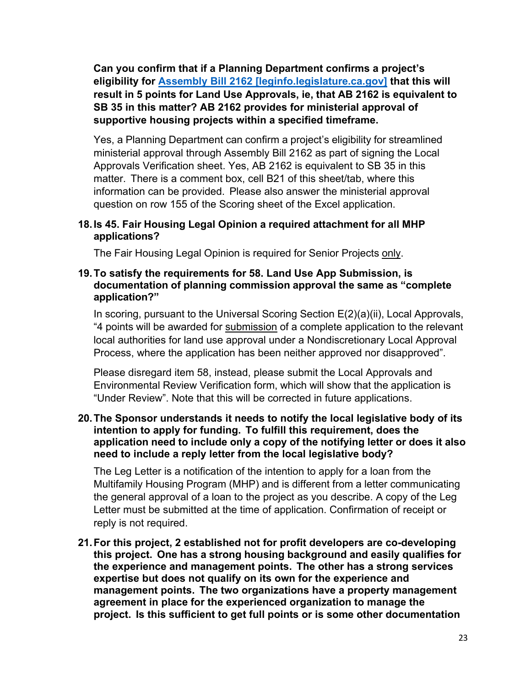**Can you confirm that if a Planning Department confirms a project's eligibility for Assembly Bill 2162 [leginfo.legislature.ca.gov] that this will result in 5 points for Land Use Approvals, ie, that AB 2162 is equivalent to SB 35 in this matter? AB 2162 provides for ministerial approval of supportive housing projects within a specified timeframe.**

Yes, a Planning Department can confirm a project's eligibility for streamlined ministerial approval through Assembly Bill 2162 as part of signing the Local Approvals Verification sheet. Yes, AB 2162 is equivalent to SB 35 in this matter. There is a comment box, cell B21 of this sheet/tab, where this information can be provided. Please also answer the ministerial approval question on row 155 of the Scoring sheet of the Excel application.

#### **18.Is 45. Fair Housing Legal Opinion a required attachment for all MHP applications?**

The Fair Housing Legal Opinion is required for Senior Projects only.

#### **19.To satisfy the requirements for 58. Land Use App Submission, is documentation of planning commission approval the same as "complete application?"**

In scoring, pursuant to the Universal Scoring Section E(2)(a)(ii), Local Approvals, "4 points will be awarded for submission of a complete application to the relevant local authorities for land use approval under a Nondiscretionary Local Approval Process, where the application has been neither approved nor disapproved".

Please disregard item 58, instead, please submit the Local Approvals and Environmental Review Verification form, which will show that the application is "Under Review". Note that this will be corrected in future applications.

#### **20.The Sponsor understands it needs to notify the local legislative body of its intention to apply for funding. To fulfill this requirement, does the application need to include only a copy of the notifying letter or does it also need to include a reply letter from the local legislative body?**

The Leg Letter is a notification of the intention to apply for a loan from the Multifamily Housing Program (MHP) and is different from a letter communicating the general approval of a loan to the project as you describe. A copy of the Leg Letter must be submitted at the time of application. Confirmation of receipt or reply is not required.

**21.For this project, 2 established not for profit developers are co-developing this project. One has a strong housing background and easily qualifies for the experience and management points. The other has a strong services expertise but does not qualify on its own for the experience and management points. The two organizations have a property management agreement in place for the experienced organization to manage the project. Is this sufficient to get full points or is some other documentation**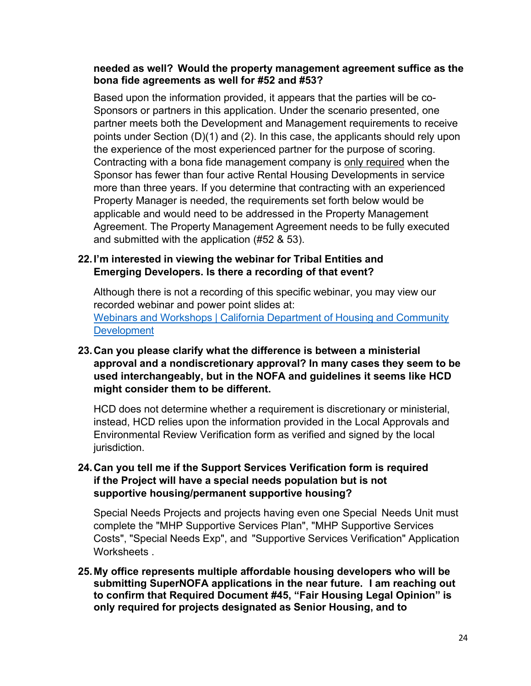#### **needed as well? Would the property management agreement suffice as the bona fide agreements as well for #52 and #53?**

Based upon the information provided, it appears that the parties will be co-Sponsors or partners in this application. Under the scenario presented, one partner meets both the Development and Management requirements to receive points under Section (D)(1) and (2). In this case, the applicants should rely upon the experience of the most experienced partner for the purpose of scoring. Contracting with a bona fide management company is only required when the Sponsor has fewer than four active Rental Housing Developments in service more than three years. If you determine that contracting with an experienced Property Manager is needed, the requirements set forth below would be applicable and would need to be addressed in the Property Management Agreement. The Property Management Agreement needs to be fully executed and submitted with the application (#52 & 53).

### **22.I'm interested in viewing the webinar for Tribal Entities and Emerging Developers. Is there a recording of that event?**

Although there is not a recording of this specific webinar, you may view our recorded webinar and power point slides at: Webinars and Workshops | California [Department](https://www.hcd.ca.gov/super-nofa-webinars) of Housing and Community **[Development](https://www.hcd.ca.gov/super-nofa-webinars)** 

# **23.Can you please clarify what the difference is between a ministerial approval and a nondiscretionary approval? In many cases they seem to be used interchangeably, but in the NOFA and guidelines it seems like HCD might consider them to be different.**

HCD does not determine whether a requirement is discretionary or ministerial, instead, HCD relies upon the information provided in the Local Approvals and Environmental Review Verification form as verified and signed by the local jurisdiction.

# **24.Can you tell me if the Support Services Verification form is required if the Project will have a special needs population but is not supportive housing/permanent supportive housing?**

Special Needs Projects and projects having even one Special Needs Unit must complete the "MHP Supportive Services Plan", "MHP Supportive Services Costs", "Special Needs Exp", and "Supportive Services Verification" Application Worksheets .

**25.My office represents multiple affordable housing developers who will be submitting SuperNOFA applications in the near future. I am reaching out to confirm that Required Document #45, "Fair Housing Legal Opinion" is only required for projects designated as Senior Housing, and to**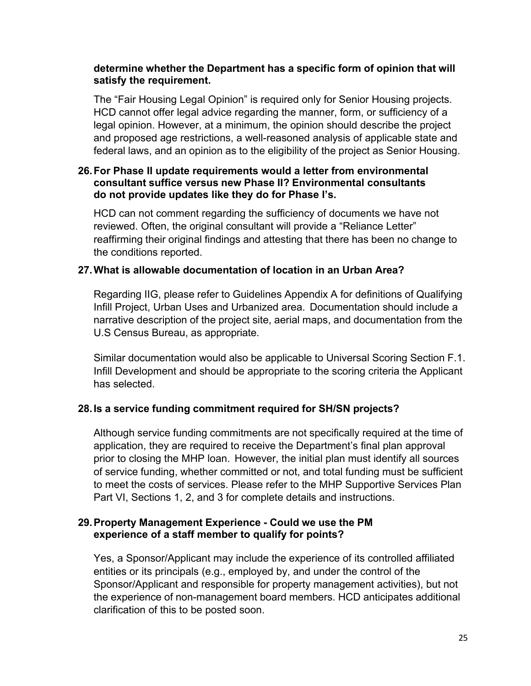### **determine whether the Department has a specific form of opinion that will satisfy the requirement.**

The "Fair Housing Legal Opinion" is required only for Senior Housing projects. HCD cannot offer legal advice regarding the manner, form, or sufficiency of a legal opinion. However, at a minimum, the opinion should describe the project and proposed age restrictions, a well-reasoned analysis of applicable state and federal laws, and an opinion as to the eligibility of the project as Senior Housing.

### **26.For Phase II update requirements would a letter from environmental consultant suffice versus new Phase II? Environmental consultants do not provide updates like they do for Phase I's.**

HCD can not comment regarding the sufficiency of documents we have not reviewed. Often, the original consultant will provide a "Reliance Letter" reaffirming their original findings and attesting that there has been no change to the conditions reported.

### **27.What is allowable documentation of location in an Urban Area?**

Regarding IIG, please refer to Guidelines Appendix A for definitions of Qualifying Infill Project, Urban Uses and Urbanized area. Documentation should include a narrative description of the project site, aerial maps, and documentation from the U.S Census Bureau, as appropriate.

Similar documentation would also be applicable to Universal Scoring Section F.1. Infill Development and should be appropriate to the scoring criteria the Applicant has selected.

# **28.Is a service funding commitment required for SH/SN projects?**

Although service funding commitments are not specifically required at the time of application, they are required to receive the Department's final plan approval prior to closing the MHP loan. However, the initial plan must identify all sources of service funding, whether committed or not, and total funding must be sufficient to meet the costs of services. Please refer to the MHP Supportive Services Plan Part VI, Sections 1, 2, and 3 for complete details and instructions.

#### **29.Property Management Experience - Could we use the PM experience of a staff member to qualify for points?**

Yes, a Sponsor/Applicant may include the experience of its controlled affiliated entities or its principals (e.g., employed by, and under the control of the Sponsor/Applicant and responsible for property management activities), but not the experience of non-management board members. HCD anticipates additional clarification of this to be posted soon.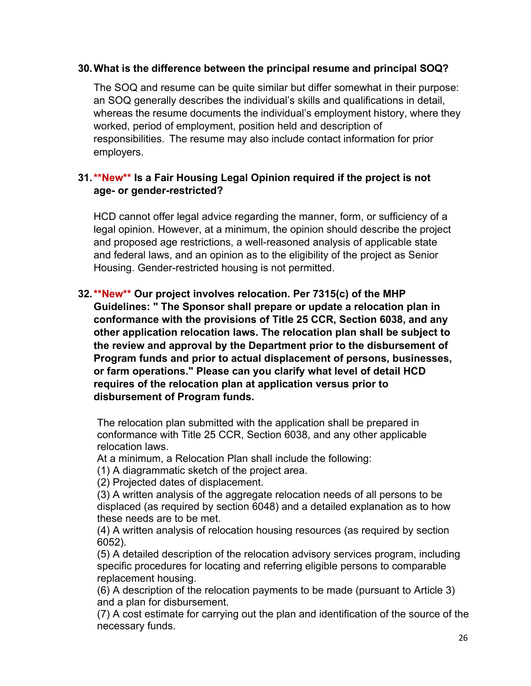#### **30.What is the difference between the principal resume and principal SOQ?**

The SOQ and resume can be quite similar but differ somewhat in their purpose: an SOQ generally describes the individual's skills and qualifications in detail, whereas the resume documents the individual's employment history, where they worked, period of employment, position held and description of responsibilities. The resume may also include contact information for prior employers.

# **31.\*\*New\*\* Is a Fair Housing Legal Opinion required if the project is not age- or gender-restricted?**

HCD cannot offer legal advice regarding the manner, form, or sufficiency of a legal opinion. However, at a minimum, the opinion should describe the project and proposed age restrictions, a well-reasoned analysis of applicable state and federal laws, and an opinion as to the eligibility of the project as Senior Housing. Gender-restricted housing is not permitted.

**32.\*\*New\*\* Our project involves relocation. Per 7315(c) of the MHP Guidelines: " The Sponsor shall prepare or update a relocation plan in conformance with the provisions of Title 25 CCR, Section 6038, and any other application relocation laws. The relocation plan shall be subject to the review and approval by the Department prior to the disbursement of Program funds and prior to actual displacement of persons, businesses, or farm operations." Please can you clarify what level of detail HCD requires of the relocation plan at application versus prior to disbursement of Program funds.**

The relocation plan submitted with the application shall be prepared in conformance with Title 25 CCR, Section 6038, and any other applicable relocation laws.

At a minimum, a Relocation Plan shall include the following:

(1) A diagrammatic sketch of the project area.

(2) Projected dates of displacement.

(3) A written analysis of the aggregate relocation needs of all persons to be displaced (as required by section 6048) and a detailed explanation as to how these needs are to be met.

(4) A written analysis of relocation housing resources (as required by section 6052).

(5) A detailed description of the relocation advisory services program, including specific procedures for locating and referring eligible persons to comparable replacement housing.

(6) A description of the relocation payments to be made (pursuant to Article 3) and a plan for disbursement.

(7) A cost estimate for carrying out the plan and identification of the source of the necessary funds.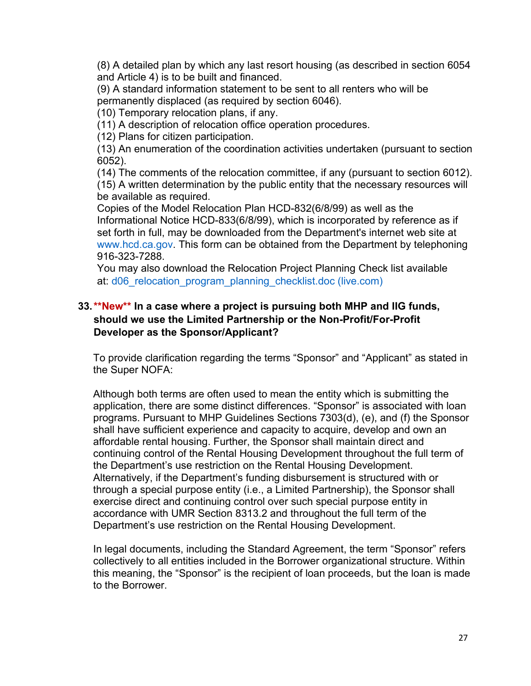(8) A detailed plan by which any last resort housing (as described in section 6054 and Article 4) is to be built and financed.

(9) A standard information statement to be sent to all renters who will be permanently displaced (as required by section 6046).

(10) Temporary relocation plans, if any.

(11) A description of relocation office operation procedures.

(12) Plans for citizen participation.

(13) An enumeration of the coordination activities undertaken (pursuant to section 6052).

(14) The comments of the relocation committee, if any (pursuant to section 6012). (15) A written determination by the public entity that the necessary resources will be available as required.

Copies of the Model Relocation Plan HCD-832(6/8/99) as well as the Informational Notice HCD-833(6/8/99), which is incorporated by reference as if set forth in full, may be downloaded from the Department's internet web site at www.hcd.ca.gov. This form can be obtained from the Department by telephoning 916-323-7288.

You may also download the Relocation Project Planning Check list available at: d06 relocation program planning checklist.doc (live.com)

# **33.\*\*New\*\* In a case where a project is pursuing both MHP and IIG funds, should we use the Limited Partnership or the Non-Profit/For-Profit Developer as the Sponsor/Applicant?**

To provide clarification regarding the terms "Sponsor" and "Applicant" as stated in the Super NOFA:

Although both terms are often used to mean the entity which is submitting the application, there are some distinct differences. "Sponsor" is associated with loan programs. Pursuant to MHP Guidelines Sections 7303(d), (e), and (f) the Sponsor shall have sufficient experience and capacity to acquire, develop and own an affordable rental housing. Further, the Sponsor shall maintain direct and continuing control of the Rental Housing Development throughout the full term of the Department's use restriction on the Rental Housing Development. Alternatively, if the Department's funding disbursement is structured with or through a special purpose entity (i.e., a Limited Partnership), the Sponsor shall exercise direct and continuing control over such special purpose entity in accordance with UMR Section 8313.2 and throughout the full term of the Department's use restriction on the Rental Housing Development.

In legal documents, including the Standard Agreement, the term "Sponsor" refers collectively to all entities included in the Borrower organizational structure. Within this meaning, the "Sponsor" is the recipient of loan proceeds, but the loan is made to the Borrower.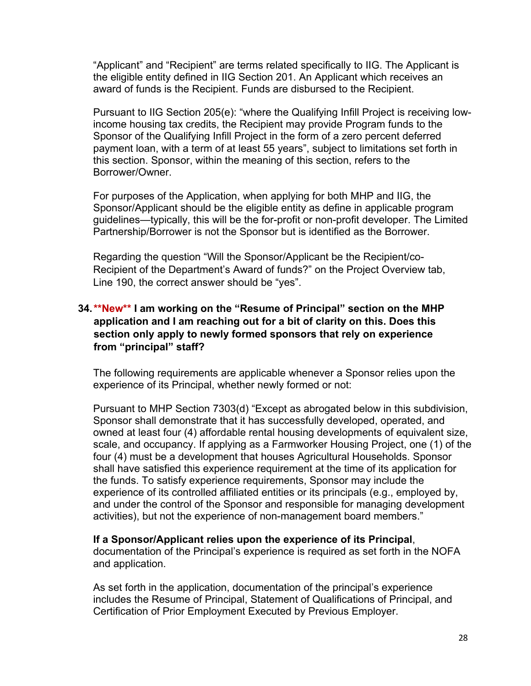"Applicant" and "Recipient" are terms related specifically to IIG. The Applicant is the eligible entity defined in IIG Section 201. An Applicant which receives an award of funds is the Recipient. Funds are disbursed to the Recipient.

Pursuant to IIG Section 205(e): "where the Qualifying Infill Project is receiving lowincome housing tax credits, the Recipient may provide Program funds to the Sponsor of the Qualifying Infill Project in the form of a zero percent deferred payment loan, with a term of at least 55 years", subject to limitations set forth in this section. Sponsor, within the meaning of this section, refers to the Borrower/Owner.

For purposes of the Application, when applying for both MHP and IIG, the Sponsor/Applicant should be the eligible entity as define in applicable program guidelines—typically, this will be the for-profit or non-profit developer. The Limited Partnership/Borrower is not the Sponsor but is identified as the Borrower.

Regarding the question "Will the Sponsor/Applicant be the Recipient/co-Recipient of the Department's Award of funds?" on the Project Overview tab, Line 190, the correct answer should be "yes".

### **34.\*\*New\*\* I am working on the "Resume of Principal" section on the MHP application and I am reaching out for a bit of clarity on this. Does this section only apply to newly formed sponsors that rely on experience from "principal" staff?**

The following requirements are applicable whenever a Sponsor relies upon the experience of its Principal, whether newly formed or not:

Pursuant to MHP Section 7303(d) "Except as abrogated below in this subdivision, Sponsor shall demonstrate that it has successfully developed, operated, and owned at least four (4) affordable rental housing developments of equivalent size, scale, and occupancy. If applying as a Farmworker Housing Project, one (1) of the four (4) must be a development that houses Agricultural Households. Sponsor shall have satisfied this experience requirement at the time of its application for the funds. To satisfy experience requirements, Sponsor may include the experience of its controlled affiliated entities or its principals (e.g., employed by, and under the control of the Sponsor and responsible for managing development activities), but not the experience of non-management board members."

#### **If a Sponsor/Applicant relies upon the experience of its Principal**, documentation of the Principal's experience is required as set forth in the NOFA and application.

As set forth in the application, documentation of the principal's experience includes the Resume of Principal, Statement of Qualifications of Principal, and Certification of Prior Employment Executed by Previous Employer.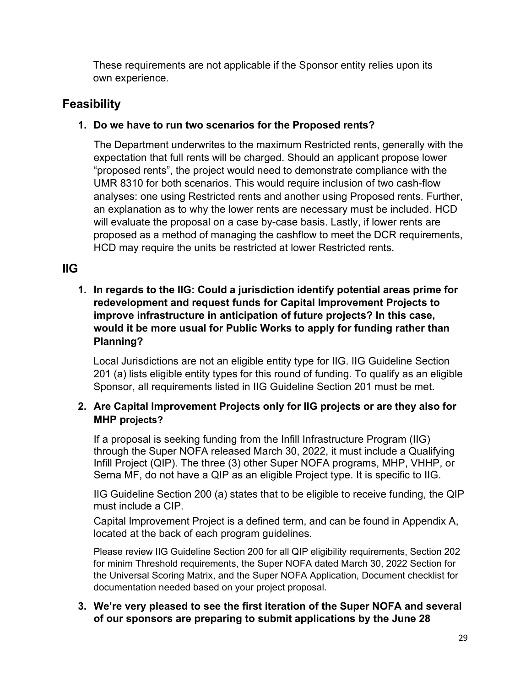These requirements are not applicable if the Sponsor entity relies upon its own experience.

# <span id="page-28-0"></span>**Feasibility**

# **1. Do we have to run two scenarios for the Proposed rents?**

The Department underwrites to the maximum Restricted rents, generally with the expectation that full rents will be charged. Should an applicant propose lower "proposed rents", the project would need to demonstrate compliance with the UMR 8310 for both scenarios. This would require inclusion of two cash-flow analyses: one using Restricted rents and another using Proposed rents. Further, an explanation as to why the lower rents are necessary must be included. HCD will evaluate the proposal on a case by-case basis. Lastly, if lower rents are proposed as a method of managing the cashflow to meet the DCR requirements, HCD may require the units be restricted at lower Restricted rents.

# <span id="page-28-1"></span>**IIG**

# **1. In regards to the IIG: Could a jurisdiction identify potential areas prime for redevelopment and request funds for Capital Improvement Projects to improve infrastructure in anticipation of future projects? In this case, would it be more usual for Public Works to apply for funding rather than Planning?**

Local Jurisdictions are not an eligible entity type for IIG. IIG Guideline Section 201 (a) lists eligible entity types for this round of funding. To qualify as an eligible Sponsor, all requirements listed in IIG Guideline Section 201 must be met.

# **2. Are Capital Improvement Projects only for IIG projects or are they also for MHP projects?**

If a proposal is seeking funding from the Infill Infrastructure Program (IIG) through the Super NOFA released March 30, 2022, it must include a Qualifying Infill Project (QIP). The three (3) other Super NOFA programs, MHP, VHHP, or Serna MF, do not have a QIP as an eligible Project type. It is specific to IIG.

IIG Guideline Section 200 (a) states that to be eligible to receive funding, the QIP must include a CIP.

Capital Improvement Project is a defined term, and can be found in Appendix A, located at the back of each program guidelines*.*

Please review IIG Guideline Section 200 for all QIP eligibility requirements, Section 202 for minim Threshold requirements, the Super NOFA dated March 30, 2022 Section for the Universal Scoring Matrix, and the Super NOFA Application, Document checklist for documentation needed based on your project proposal.

# **3. We're very pleased to see the first iteration of the Super NOFA and several of our sponsors are preparing to submit applications by the June 28**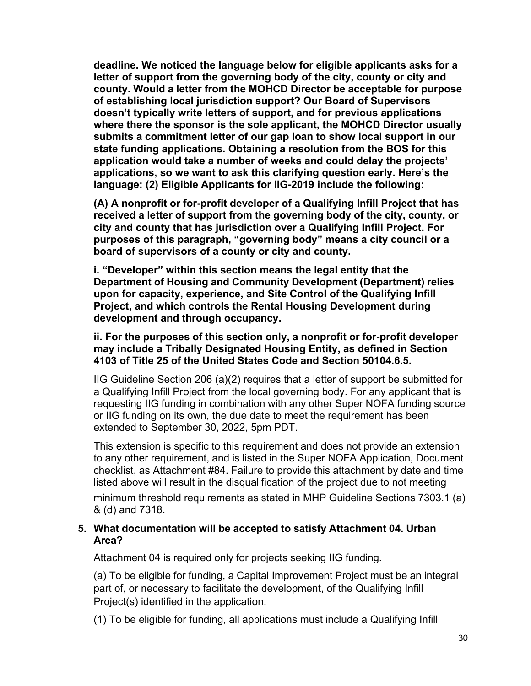**deadline. We noticed the language below for eligible applicants asks for a letter of support from the governing body of the city, county or city and county. Would a letter from the MOHCD Director be acceptable for purpose of establishing local jurisdiction support? Our Board of Supervisors doesn't typically write letters of support, and for previous applications where there the sponsor is the sole applicant, the MOHCD Director usually submits a commitment letter of our gap loan to show local support in our state funding applications. Obtaining a resolution from the BOS for this application would take a number of weeks and could delay the projects' applications, so we want to ask this clarifying question early. Here's the language: (2) Eligible Applicants for IIG-2019 include the following:**

**(A) A nonprofit or for-profit developer of a Qualifying Infill Project that has received a letter of support from the governing body of the city, county, or city and county that has jurisdiction over a Qualifying Infill Project. For purposes of this paragraph, "governing body" means a city council or a board of supervisors of a county or city and county.**

**i. "Developer" within this section means the legal entity that the Department of Housing and Community Development (Department) relies upon for capacity, experience, and Site Control of the Qualifying Infill Project, and which controls the Rental Housing Development during development and through occupancy.**

**ii. For the purposes of this section only, a nonprofit or for-profit developer may include a Tribally Designated Housing Entity, as defined in Section 4103 of Title 25 of the United States Code and Section 50104.6.5.**

IIG Guideline Section 206 (a)(2) requires that a letter of support be submitted for a Qualifying Infill Project from the local governing body. For any applicant that is requesting IIG funding in combination with any other Super NOFA funding source or IIG funding on its own, the due date to meet the requirement has been extended to September 30, 2022, 5pm PDT.

This extension is specific to this requirement and does not provide an extension to any other requirement, and is listed in the Super NOFA Application, Document checklist, as Attachment #84. Failure to provide this attachment by date and time listed above will result in the disqualification of the project due to not meeting

minimum threshold requirements as stated in MHP Guideline Sections 7303.1 (a) & (d) and 7318.

#### **5. What documentation will be accepted to satisfy Attachment 04. Urban Area?**

Attachment 04 is required only for projects seeking IIG funding.

(a) To be eligible for funding, a Capital Improvement Project must be an integral part of, or necessary to facilitate the development, of the Qualifying Infill Project(s) identified in the application.

(1) To be eligible for funding, all applications must include a Qualifying Infill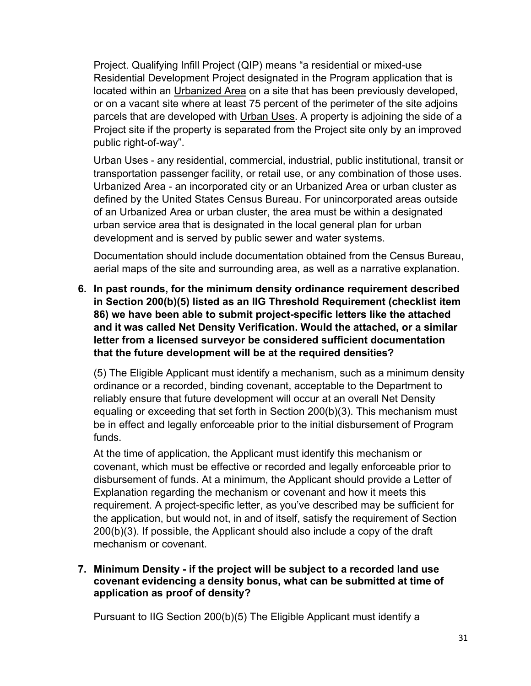Project. Qualifying Infill Project (QIP) means "a residential or mixed-use Residential Development Project designated in the Program application that is located within an Urbanized Area on a site that has been previously developed, or on a vacant site where at least 75 percent of the perimeter of the site adjoins parcels that are developed with Urban Uses. A property is adjoining the side of a Project site if the property is separated from the Project site only by an improved public right-of-way".

Urban Uses - any residential, commercial, industrial, public institutional, transit or transportation passenger facility, or retail use, or any combination of those uses. Urbanized Area - an incorporated city or an Urbanized Area or urban cluster as defined by the United States Census Bureau. For unincorporated areas outside of an Urbanized Area or urban cluster, the area must be within a designated urban service area that is designated in the local general plan for urban development and is served by public sewer and water systems.

Documentation should include documentation obtained from the Census Bureau, aerial maps of the site and surrounding area, as well as a narrative explanation.

**6. In past rounds, for the minimum density ordinance requirement described in Section 200(b)(5) listed as an IIG Threshold Requirement (checklist item 86) we have been able to submit project-specific letters like the attached and it was called Net Density Verification. Would the attached, or a similar letter from a licensed surveyor be considered sufficient documentation that the future development will be at the required densities?**

(5) The Eligible Applicant must identify a mechanism, such as a minimum density ordinance or a recorded, binding covenant, acceptable to the Department to reliably ensure that future development will occur at an overall Net Density equaling or exceeding that set forth in Section 200(b)(3). This mechanism must be in effect and legally enforceable prior to the initial disbursement of Program funds.

At the time of application, the Applicant must identify this mechanism or covenant, which must be effective or recorded and legally enforceable prior to disbursement of funds. At a minimum, the Applicant should provide a Letter of Explanation regarding the mechanism or covenant and how it meets this requirement. A project-specific letter, as you've described may be sufficient for the application, but would not, in and of itself, satisfy the requirement of Section 200(b)(3). If possible, the Applicant should also include a copy of the draft mechanism or covenant.

### **7. Minimum Density - if the project will be subject to a recorded land use covenant evidencing a density bonus, what can be submitted at time of application as proof of density?**

Pursuant to IIG Section 200(b)(5) The Eligible Applicant must identify a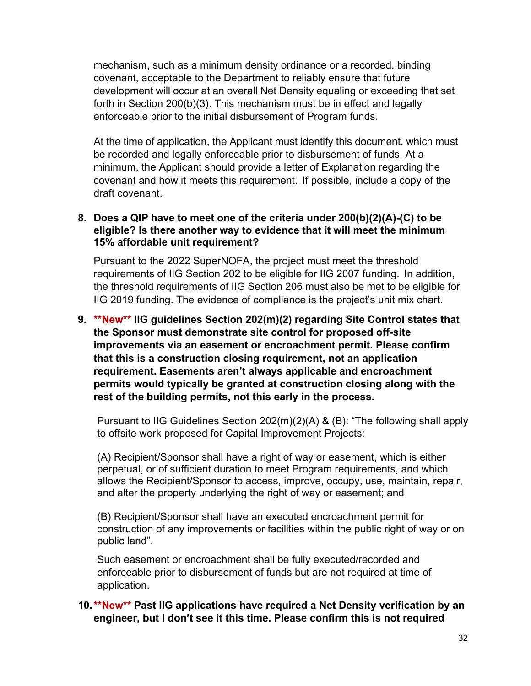mechanism, such as a minimum density ordinance or a recorded, binding covenant, acceptable to the Department to reliably ensure that future development will occur at an overall Net Density equaling or exceeding that set forth in Section 200(b)(3). This mechanism must be in effect and legally enforceable prior to the initial disbursement of Program funds.

At the time of application, the Applicant must identify this document, which must be recorded and legally enforceable prior to disbursement of funds. At a minimum, the Applicant should provide a letter of Explanation regarding the covenant and how it meets this requirement. If possible, include a copy of the draft covenant.

### **8. Does a QIP have to meet one of the criteria under 200(b)(2)(A)-(C) to be eligible? Is there another way to evidence that it will meet the minimum 15% affordable unit requirement?**

Pursuant to the 2022 SuperNOFA, the project must meet the threshold requirements of IIG Section 202 to be eligible for IIG 2007 funding. In addition, the threshold requirements of IIG Section 206 must also be met to be eligible for IIG 2019 funding. The evidence of compliance is the project's unit mix chart.

**9. \*\*New\*\* IIG guidelines Section 202(m)(2) regarding Site Control states that the Sponsor must demonstrate site control for proposed off-site improvements via an easement or encroachment permit. Please confirm that this is a construction closing requirement, not an application requirement. Easements aren't always applicable and encroachment permits would typically be granted at construction closing along with the rest of the building permits, not this early in the process.**

Pursuant to IIG Guidelines Section 202(m)(2)(A) & (B): "The following shall apply to offsite work proposed for Capital Improvement Projects:

(A) Recipient/Sponsor shall have a right of way or easement, which is either perpetual, or of sufficient duration to meet Program requirements, and which allows the Recipient/Sponsor to access, improve, occupy, use, maintain, repair, and alter the property underlying the right of way or easement; and

(B) Recipient/Sponsor shall have an executed encroachment permit for construction of any improvements or facilities within the public right of way or on public land".

Such easement or encroachment shall be fully executed/recorded and enforceable prior to disbursement of funds but are not required at time of application.

# **10.\*\*New\*\* Past IIG applications have required a Net Density verification by an engineer, but I don't see it this time. Please confirm this is not required**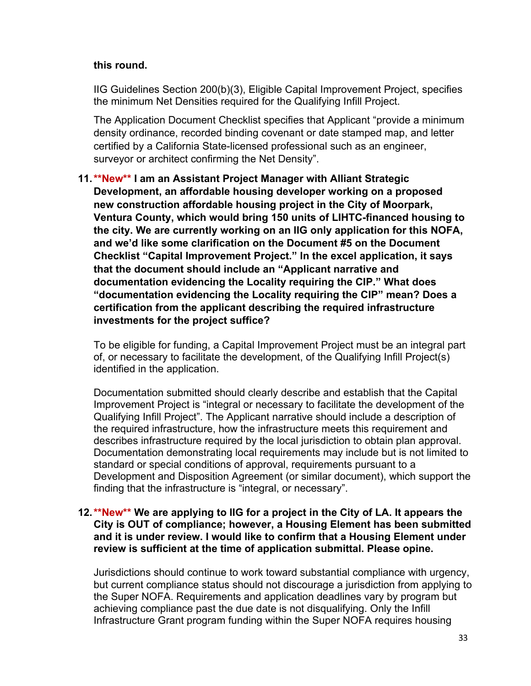#### **this round.**

IIG Guidelines Section 200(b)(3), Eligible Capital Improvement Project, specifies the minimum Net Densities required for the Qualifying Infill Project.

The Application Document Checklist specifies that Applicant "provide a minimum density ordinance, recorded binding covenant or date stamped map, and letter certified by a California State-licensed professional such as an engineer, surveyor or architect confirming the Net Density".

**11.\*\*New\*\* I am an Assistant Project Manager with Alliant Strategic Development, an affordable housing developer working on a proposed new construction affordable housing project in the City of Moorpark, Ventura County, which would bring 150 units of LIHTC-financed housing to the city. We are currently working on an IIG only application for this NOFA, and we'd like some clarification on the Document #5 on the Document Checklist "Capital Improvement Project." In the excel application, it says that the document should include an "Applicant narrative and documentation evidencing the Locality requiring the CIP." What does "documentation evidencing the Locality requiring the CIP" mean? Does a certification from the applicant describing the required infrastructure investments for the project suffice?**

To be eligible for funding, a Capital Improvement Project must be an integral part of, or necessary to facilitate the development, of the Qualifying Infill Project(s) identified in the application.

Documentation submitted should clearly describe and establish that the Capital Improvement Project is "integral or necessary to facilitate the development of the Qualifying Infill Project". The Applicant narrative should include a description of the required infrastructure, how the infrastructure meets this requirement and describes infrastructure required by the local jurisdiction to obtain plan approval. Documentation demonstrating local requirements may include but is not limited to standard or special conditions of approval, requirements pursuant to a Development and Disposition Agreement (or similar document), which support the finding that the infrastructure is "integral, or necessary".

#### **12.\*\*New\*\* We are applying to IIG for a project in the City of LA. It appears the City is OUT of compliance; however, a Housing Element has been submitted and it is under review. I would like to confirm that a Housing Element under review is sufficient at the time of application submittal. Please opine.**

Jurisdictions should continue to work toward substantial compliance with urgency, but current compliance status should not discourage a jurisdiction from applying to the Super NOFA. Requirements and application deadlines vary by program but achieving compliance past the due date is not disqualifying. Only the Infill Infrastructure Grant program funding within the Super NOFA requires housing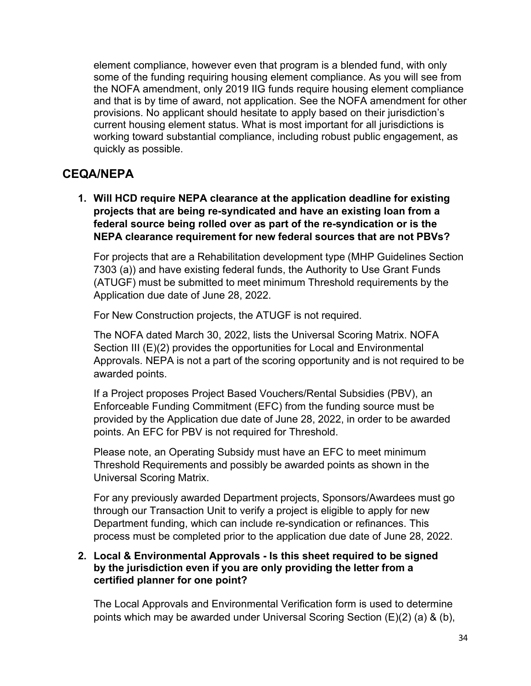element compliance, however even that program is a blended fund, with only some of the funding requiring housing element compliance. As you will see from the NOFA amendment, only 2019 IIG funds require housing element compliance and that is by time of award, not application. See the NOFA amendment for other provisions. No applicant should hesitate to apply based on their jurisdiction's current housing element status. What is most important for all jurisdictions is working toward substantial compliance, including robust public engagement, as quickly as possible.

# <span id="page-33-0"></span>**CEQA/NEPA**

**1. Will HCD require NEPA clearance at the application deadline for existing projects that are being re-syndicated and have an existing loan from a federal source being rolled over as part of the re-syndication or is the NEPA clearance requirement for new federal sources that are not PBVs?**

For projects that are a Rehabilitation development type (MHP Guidelines Section 7303 (a)) and have existing federal funds, the Authority to Use Grant Funds (ATUGF) must be submitted to meet minimum Threshold requirements by the Application due date of June 28, 2022.

For New Construction projects, the ATUGF is not required.

The NOFA dated March 30, 2022, lists the Universal Scoring Matrix. NOFA Section III (E)(2) provides the opportunities for Local and Environmental Approvals. NEPA is not a part of the scoring opportunity and is not required to be awarded points.

If a Project proposes Project Based Vouchers/Rental Subsidies (PBV), an Enforceable Funding Commitment (EFC) from the funding source must be provided by the Application due date of June 28, 2022, in order to be awarded points. An EFC for PBV is not required for Threshold.

Please note, an Operating Subsidy must have an EFC to meet minimum Threshold Requirements and possibly be awarded points as shown in the Universal Scoring Matrix.

For any previously awarded Department projects, Sponsors/Awardees must go through our Transaction Unit to verify a project is eligible to apply for new Department funding, which can include re-syndication or refinances. This process must be completed prior to the application due date of June 28, 2022.

#### **2. Local & Environmental Approvals - Is this sheet required to be signed by the jurisdiction even if you are only providing the letter from a certified planner for one point?**

The Local Approvals and Environmental Verification form is used to determine points which may be awarded under Universal Scoring Section (E)(2) (a) & (b),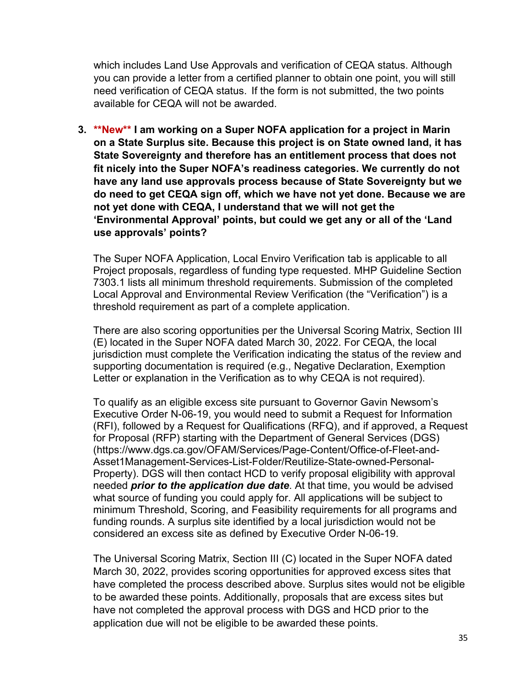which includes Land Use Approvals and verification of CEQA status. Although you can provide a letter from a certified planner to obtain one point, you will still need verification of CEQA status. If the form is not submitted, the two points available for CEQA will not be awarded.

**3. \*\*New\*\* I am working on a Super NOFA application for a project in Marin on a State Surplus site. Because this project is on State owned land, it has State Sovereignty and therefore has an entitlement process that does not fit nicely into the Super NOFA's readiness categories. We currently do not have any land use approvals process because of State Sovereignty but we do need to get CEQA sign off, which we have not yet done. Because we are not yet done with CEQA, I understand that we will not get the 'Environmental Approval' points, but could we get any or all of the 'Land use approvals' points?**

The Super NOFA Application, Local Enviro Verification tab is applicable to all Project proposals, regardless of funding type requested. MHP Guideline Section 7303.1 lists all minimum threshold requirements. Submission of the completed Local Approval and Environmental Review Verification (the "Verification") is a threshold requirement as part of a complete application.

There are also scoring opportunities per the Universal Scoring Matrix, Section III (E) located in the Super NOFA dated March 30, 2022. For CEQA, the local jurisdiction must complete the Verification indicating the status of the review and supporting documentation is required (e.g., Negative Declaration, Exemption Letter or explanation in the Verification as to why CEQA is not required).

To qualify as an eligible excess site pursuant to Governor Gavin Newsom's Executive Order N-06-19, you would need to submit a Request for Information (RFI), followed by a Request for Qualifications (RFQ), and if approved, a Request for Proposal (RFP) starting with the Department of General Services (DGS) (https://www.dgs.ca.gov/OFAM/Services/Page-Content/Office-of-Fleet-and-Asset1Management-Services-List-Folder/Reutilize-State-owned-Personal-Property). DGS will then contact HCD to verify proposal eligibility with approval needed *prior to the application due date*. At that time, you would be advised what source of funding you could apply for. All applications will be subject to minimum Threshold, Scoring, and Feasibility requirements for all programs and funding rounds. A surplus site identified by a local jurisdiction would not be considered an excess site as defined by Executive Order N-06-19.

The Universal Scoring Matrix, Section III (C) located in the Super NOFA dated March 30, 2022, provides scoring opportunities for approved excess sites that have completed the process described above. Surplus sites would not be eligible to be awarded these points. Additionally, proposals that are excess sites but have not completed the approval process with DGS and HCD prior to the application due will not be eligible to be awarded these points.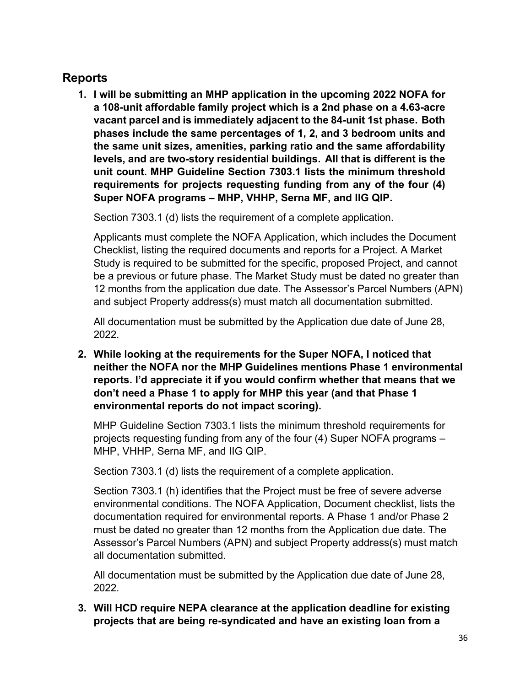# <span id="page-35-0"></span>**Reports**

**1. I will be submitting an MHP application in the upcoming 2022 NOFA for a 108-unit affordable family project which is a 2nd phase on a 4.63-acre vacant parcel and is immediately adjacent to the 84-unit 1st phase. Both phases include the same percentages of 1, 2, and 3 bedroom units and the same unit sizes, amenities, parking ratio and the same affordability levels, and are two-story residential buildings. All that is different is the unit count. MHP Guideline Section 7303.1 lists the minimum threshold requirements for projects requesting funding from any of the four (4) Super NOFA programs – MHP, VHHP, Serna MF, and IIG QIP.**

Section 7303.1 (d) lists the requirement of a complete application.

Applicants must complete the NOFA Application, which includes the Document Checklist, listing the required documents and reports for a Project. A Market Study is required to be submitted for the specific, proposed Project, and cannot be a previous or future phase. The Market Study must be dated no greater than 12 months from the application due date. The Assessor's Parcel Numbers (APN) and subject Property address(s) must match all documentation submitted.

All documentation must be submitted by the Application due date of June 28, 2022.

**2. While looking at the requirements for the Super NOFA, I noticed that neither the NOFA nor the MHP Guidelines mentions Phase 1 environmental reports. I'd appreciate it if you would confirm whether that means that we don't need a Phase 1 to apply for MHP this year (and that Phase 1 environmental reports do not impact scoring).**

MHP Guideline Section 7303.1 lists the minimum threshold requirements for projects requesting funding from any of the four (4) Super NOFA programs – MHP, VHHP, Serna MF, and IIG QIP.

Section 7303.1 (d) lists the requirement of a complete application.

Section 7303.1 (h) identifies that the Project must be free of severe adverse environmental conditions. The NOFA Application, Document checklist, lists the documentation required for environmental reports. A Phase 1 and/or Phase 2 must be dated no greater than 12 months from the Application due date. The Assessor's Parcel Numbers (APN) and subject Property address(s) must match all documentation submitted.

All documentation must be submitted by the Application due date of June 28, 2022.

**3. Will HCD require NEPA clearance at the application deadline for existing projects that are being re-syndicated and have an existing loan from a**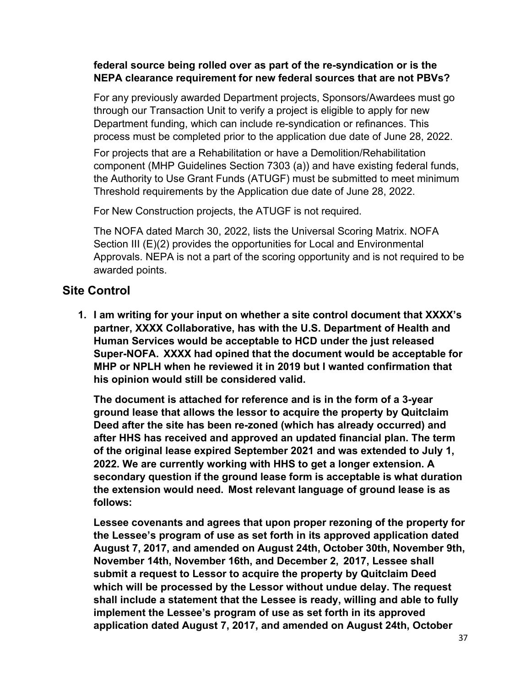# **federal source being rolled over as part of the re-syndication or is the NEPA clearance requirement for new federal sources that are not PBVs?**

For any previously awarded Department projects, Sponsors/Awardees must go through our Transaction Unit to verify a project is eligible to apply for new Department funding, which can include re-syndication or refinances. This process must be completed prior to the application due date of June 28, 2022.

For projects that are a Rehabilitation or have a Demolition/Rehabilitation component (MHP Guidelines Section 7303 (a)) and have existing federal funds, the Authority to Use Grant Funds (ATUGF) must be submitted to meet minimum Threshold requirements by the Application due date of June 28, 2022.

For New Construction projects, the ATUGF is not required.

The NOFA dated March 30, 2022, lists the Universal Scoring Matrix. NOFA Section III (E)(2) provides the opportunities for Local and Environmental Approvals. NEPA is not a part of the scoring opportunity and is not required to be awarded points.

# <span id="page-36-0"></span>**Site Control**

**1. I am writing for your input on whether a site control document that XXXX's partner, XXXX Collaborative, has with the U.S. Department of Health and Human Services would be acceptable to HCD under the just released Super-NOFA. XXXX had opined that the document would be acceptable for MHP or NPLH when he reviewed it in 2019 but I wanted confirmation that his opinion would still be considered valid.**

**The document is attached for reference and is in the form of a 3-year ground lease that allows the lessor to acquire the property by Quitclaim Deed after the site has been re-zoned (which has already occurred) and after HHS has received and approved an updated financial plan. The term of the original lease expired September 2021 and was extended to July 1, 2022. We are currently working with HHS to get a longer extension. A secondary question if the ground lease form is acceptable is what duration the extension would need. Most relevant language of ground lease is as follows:**

**Lessee covenants and agrees that upon proper rezoning of the property for the Lessee's program of use as set forth in its approved application dated August 7, 2017, and amended on August 24th, October 30th, November 9th, November 14th, November 16th, and December 2, 2017, Lessee shall submit a request to Lessor to acquire the property by Quitclaim Deed which will be processed by the Lessor without undue delay. The request shall include a statement that the Lessee is ready, willing and able to fully implement the Lessee's program of use as set forth in its approved application dated August 7, 2017, and amended on August 24th, October**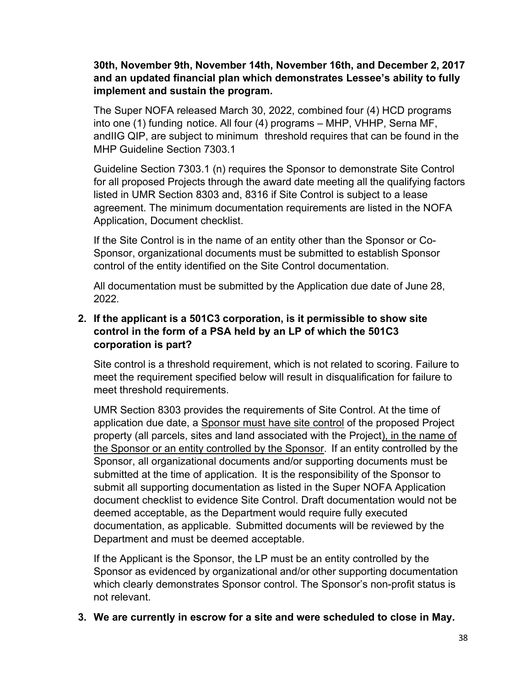### **30th, November 9th, November 14th, November 16th, and December 2, 2017 and an updated financial plan which demonstrates Lessee's ability to fully implement and sustain the program.**

The Super NOFA released March 30, 2022, combined four (4) HCD programs into one (1) funding notice. All four (4) programs – MHP, VHHP, Serna MF, andIIG QIP, are subject to minimum threshold requires that can be found in the MHP Guideline Section 7303.1

Guideline Section 7303.1 (n) requires the Sponsor to demonstrate Site Control for all proposed Projects through the award date meeting all the qualifying factors listed in UMR Section 8303 and, 8316 if Site Control is subject to a lease agreement. The minimum documentation requirements are listed in the NOFA Application, Document checklist.

If the Site Control is in the name of an entity other than the Sponsor or Co-Sponsor, organizational documents must be submitted to establish Sponsor control of the entity identified on the Site Control documentation.

All documentation must be submitted by the Application due date of June 28, 2022.

# **2. If the applicant is a 501C3 corporation, is it permissible to show site control in the form of a PSA held by an LP of which the 501C3 corporation is part?**

Site control is a threshold requirement, which is not related to scoring. Failure to meet the requirement specified below will result in disqualification for failure to meet threshold requirements.

UMR Section 8303 provides the requirements of Site Control. At the time of application due date, a Sponsor must have site control of the proposed Project property (all parcels, sites and land associated with the Project), in the name of the Sponsor or an entity controlled by the Sponsor. If an entity controlled by the Sponsor, all organizational documents and/or supporting documents must be submitted at the time of application. It is the responsibility of the Sponsor to submit all supporting documentation as listed in the Super NOFA Application document checklist to evidence Site Control. Draft documentation would not be deemed acceptable, as the Department would require fully executed documentation, as applicable. Submitted documents will be reviewed by the Department and must be deemed acceptable.

If the Applicant is the Sponsor, the LP must be an entity controlled by the Sponsor as evidenced by organizational and/or other supporting documentation which clearly demonstrates Sponsor control. The Sponsor's non-profit status is not relevant.

# **3. We are currently in escrow for a site and were scheduled to close in May.**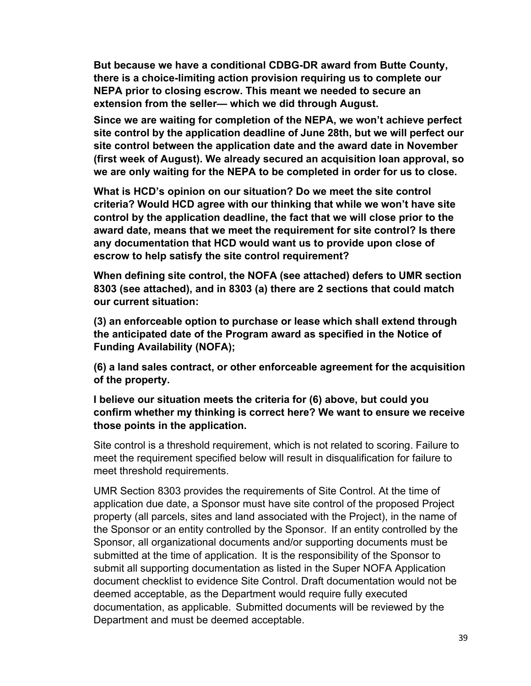**But because we have a conditional CDBG-DR award from Butte County, there is a choice-limiting action provision requiring us to complete our NEPA prior to closing escrow. This meant we needed to secure an extension from the seller— which we did through August.**

**Since we are waiting for completion of the NEPA, we won't achieve perfect site control by the application deadline of June 28th, but we will perfect our site control between the application date and the award date in November (first week of August). We already secured an acquisition loan approval, so we are only waiting for the NEPA to be completed in order for us to close.**

**What is HCD's opinion on our situation? Do we meet the site control criteria? Would HCD agree with our thinking that while we won't have site control by the application deadline, the fact that we will close prior to the award date, means that we meet the requirement for site control? Is there any documentation that HCD would want us to provide upon close of escrow to help satisfy the site control requirement?**

**When defining site control, the NOFA (see attached) defers to UMR section 8303 (see attached), and in 8303 (a) there are 2 sections that could match our current situation:**

**(3) an enforceable option to purchase or lease which shall extend through the anticipated date of the Program award as specified in the Notice of Funding Availability (NOFA);**

**(6) a land sales contract, or other enforceable agreement for the acquisition of the property.**

**I believe our situation meets the criteria for (6) above, but could you confirm whether my thinking is correct here? We want to ensure we receive those points in the application.**

Site control is a threshold requirement, which is not related to scoring. Failure to meet the requirement specified below will result in disqualification for failure to meet threshold requirements.

UMR Section 8303 provides the requirements of Site Control. At the time of application due date, a Sponsor must have site control of the proposed Project property (all parcels, sites and land associated with the Project), in the name of the Sponsor or an entity controlled by the Sponsor. If an entity controlled by the Sponsor, all organizational documents and/or supporting documents must be submitted at the time of application. It is the responsibility of the Sponsor to submit all supporting documentation as listed in the Super NOFA Application document checklist to evidence Site Control. Draft documentation would not be deemed acceptable, as the Department would require fully executed documentation, as applicable. Submitted documents will be reviewed by the Department and must be deemed acceptable.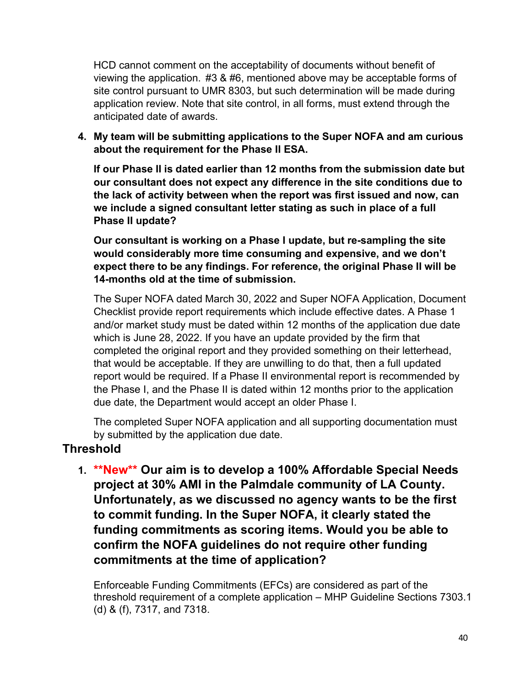HCD cannot comment on the acceptability of documents without benefit of viewing the application. #3 & #6, mentioned above may be acceptable forms of site control pursuant to UMR 8303, but such determination will be made during application review. Note that site control, in all forms, must extend through the anticipated date of awards.

**4. My team will be submitting applications to the Super NOFA and am curious about the requirement for the Phase II ESA.**

**If our Phase II is dated earlier than 12 months from the submission date but our consultant does not expect any difference in the site conditions due to the lack of activity between when the report was first issued and now, can we include a signed consultant letter stating as such in place of a full Phase II update?**

**Our consultant is working on a Phase I update, but re-sampling the site would considerably more time consuming and expensive, and we don't expect there to be any findings. For reference, the original Phase II will be 14-months old at the time of submission.**

The Super NOFA dated March 30, 2022 and Super NOFA Application, Document Checklist provide report requirements which include effective dates. A Phase 1 and/or market study must be dated within 12 months of the application due date which is June 28, 2022. If you have an update provided by the firm that completed the original report and they provided something on their letterhead, that would be acceptable. If they are unwilling to do that, then a full updated report would be required. If a Phase II environmental report is recommended by the Phase I, and the Phase II is dated within 12 months prior to the application due date, the Department would accept an older Phase I.

The completed Super NOFA application and all supporting documentation must by submitted by the application due date.

# <span id="page-39-0"></span>**Threshold**

**1. \*\*New\*\* Our aim is to develop a 100% Affordable Special Needs project at 30% AMI in the Palmdale community of LA County. Unfortunately, as we discussed no agency wants to be the first to commit funding. In the Super NOFA, it clearly stated the funding commitments as scoring items. Would you be able to confirm the NOFA guidelines do not require other funding commitments at the time of application?**

Enforceable Funding Commitments (EFCs) are considered as part of the threshold requirement of a complete application – MHP Guideline Sections 7303.1 (d) & (f), 7317, and 7318.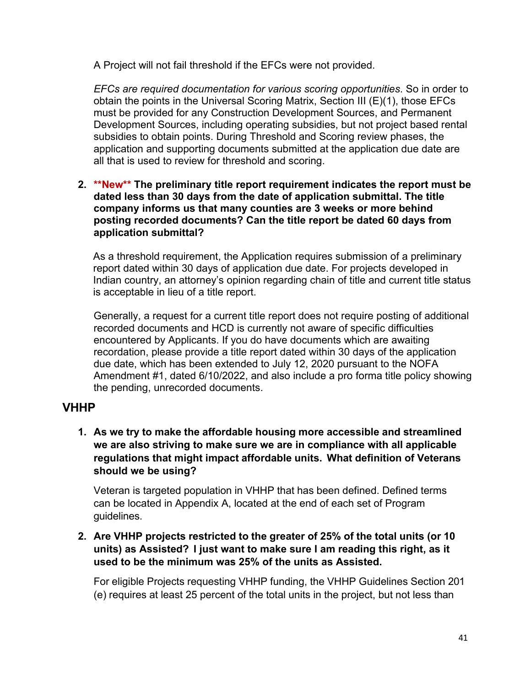A Project will not fail threshold if the EFCs were not provided.

*EFCs are required documentation for various scoring opportunities*. So in order to obtain the points in the Universal Scoring Matrix, Section III (E)(1), those EFCs must be provided for any Construction Development Sources, and Permanent Development Sources, including operating subsidies, but not project based rental subsidies to obtain points. During Threshold and Scoring review phases, the application and supporting documents submitted at the application due date are all that is used to review for threshold and scoring.

#### **2. \*\*New\*\* The preliminary title report requirement indicates the report must be dated less than 30 days from the date of application submittal. The title company informs us that many counties are 3 weeks or more behind posting recorded documents? Can the title report be dated 60 days from application submittal?**

As a threshold requirement, the Application requires submission of a preliminary report dated within 30 days of application due date. For projects developed in Indian country, an attorney's opinion regarding chain of title and current title status is acceptable in lieu of a title report.

Generally, a request for a current title report does not require posting of additional recorded documents and HCD is currently not aware of specific difficulties encountered by Applicants. If you do have documents which are awaiting recordation, please provide a title report dated within 30 days of the application due date, which has been extended to July 12, 2020 pursuant to the NOFA Amendment #1, dated 6/10/2022, and also include a pro forma title policy showing the pending, unrecorded documents.

# <span id="page-40-0"></span>**VHHP**

**1. As we try to make the affordable housing more accessible and streamlined we are also striving to make sure we are in compliance with all applicable regulations that might impact affordable units. What definition of Veterans should we be using?**

Veteran is targeted population in VHHP that has been defined. Defined terms can be located in Appendix A, located at the end of each set of Program guidelines.

**2. Are VHHP projects restricted to the greater of 25% of the total units (or 10 units) as Assisted? I just want to make sure I am reading this right, as it used to be the minimum was 25% of the units as Assisted.**

For eligible Projects requesting VHHP funding, the VHHP Guidelines Section 201 (e) requires at least 25 percent of the total units in the project, but not less than